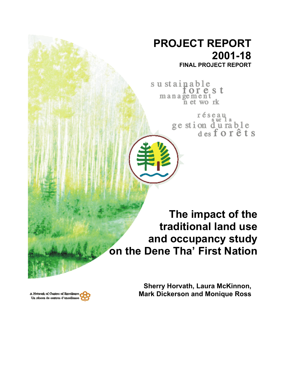# **PROJECT REPORT 2001-18**

**FINAL PROJECT REPORT**

sustainable<br>for e s t management<br>net work

réseau<br>ge stion d'u rable<br>des forêts

**The impact of the traditional land use and occupancy study on the Dene Tha' First Nation**

A Network of Centres of Bxcellence Un réseau de contres d'excellence

**Sherry Horvath, Laura McKinnon, Mark Dickerson and Monique Ross**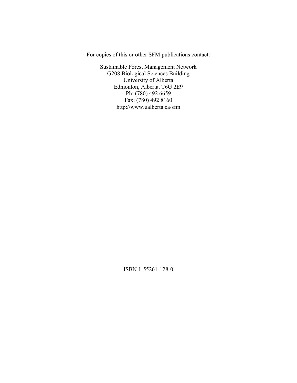For copies of this or other SFM publications contact:

Sustainable Forest Management Network G208 Biological Sciences Building University of Alberta Edmonton, Alberta, T6G 2E9 Ph: (780) 492 6659 Fax: (780) 492 8160 http://www.ualberta.ca/sfm

ISBN 1-55261-128-0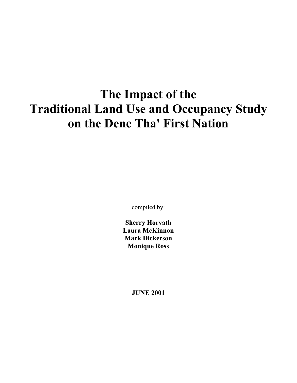# **The Impact of the Traditional Land Use and Occupancy Study on the Dene Tha' First Nation**

compiled by:

**Sherry Horvath Laura McKinnon Mark Dickerson Monique Ross** 

**JUNE 2001**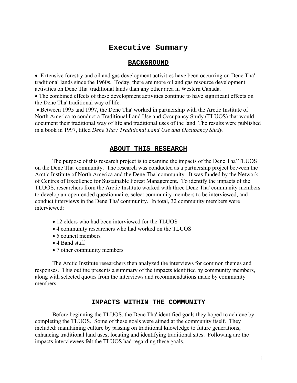## **Executive Summary**

#### **BACKGROUND**

• Extensive forestry and oil and gas development activities have been occurring on Dene Tha' traditional lands since the 1960s. Today, there are more oil and gas resource development activities on Dene Tha' traditional lands than any other area in Western Canada.

• The combined effects of these development activities continue to have significant effects on the Dene Tha' traditional way of life.

• Between 1995 and 1997, the Dene Tha' worked in partnership with the Arctic Institute of North America to conduct a Traditional Land Use and Occupancy Study (TLUOS) that would document their traditional way of life and traditional uses of the land. The results were published in a book in 1997, titled *Dene Tha': Traditional Land Use and Occupancy Study*.

#### **ABOUT THIS RESEARCH**

The purpose of this research project is to examine the impacts of the Dene Tha' TLUOS on the Dene Tha' community. The research was conducted as a partnership project between the Arctic Institute of North America and the Dene Tha' community. It was funded by the Network of Centres of Excellence for Sustainable Forest Management. To identify the impacts of the TLUOS, researchers from the Arctic Institute worked with three Dene Tha' community members to develop an open-ended questionnaire, select community members to be interviewed, and conduct interviews in the Dene Tha' community. In total, 32 community members were interviewed:

- 12 elders who had been interviewed for the TLUOS
- 4 community researchers who had worked on the TLUOS
- 5 council members
- 4 Band staff
- 7 other community members

The Arctic Institute researchers then analyzed the interviews for common themes and responses. This outline presents a summary of the impacts identified by community members, along with selected quotes from the interviews and recommendations made by community members.

#### **IMPACTS WITHIN THE COMMUNITY**

Before beginning the TLUOS, the Dene Tha' identified goals they hoped to achieve by completing the TLUOS. Some of these goals were aimed at the community itself. They included: maintaining culture by passing on traditional knowledge to future generations; enhancing traditional land uses; locating and identifying traditional sites. Following are the impacts interviewees felt the TLUOS had regarding these goals.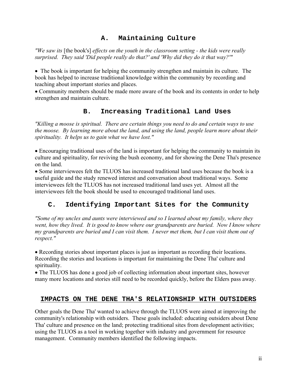## **A. Maintaining Culture**

*"We saw its* [the book's] *effects on the youth in the classroom setting - the kids were really surprised. They said 'Did people really do that?' and 'Why did they do it that way?'"*

• The book is important for helping the community strengthen and maintain its culture. The book has helped to increase traditional knowledge within the community by recording and teaching about important stories and places.

• Community members should be made more aware of the book and its contents in order to help strengthen and maintain culture.

## **B. Increasing Traditional Land Uses**

*"Killing a moose is spiritual. There are certain things you need to do and certain ways to use the moose. By learning more about the land, and using the land, people learn more about their spirituality. It helps us to gain what we have lost."*

• Encouraging traditional uses of the land is important for helping the community to maintain its culture and spirituality, for reviving the bush economy, and for showing the Dene Tha's presence on the land.

• Some interviewees felt the TLUOS has increased traditional land uses because the book is a useful guide and the study renewed interest and conversation about traditional ways. Some interviewees felt the TLUOS has not increased traditional land uses yet. Almost all the interviewees felt the book should be used to encouraged traditional land uses.

## **C. Identifying Important Sites for the Community**

*"Some of my uncles and aunts were interviewed and so I learned about my family, where they went, how they lived. It is good to know where our grandparents are buried. Now I know where my grandparents are buried and I can visit them. I never met them, but I can visit them out of respect."* 

• Recording stories about important places is just as important as recording their locations. Recording the stories and locations is important for maintaining the Dene Tha' culture and spirituality.

• The TLUOS has done a good job of collecting information about important sites, however many more locations and stories still need to be recorded quickly, before the Elders pass away.

## **IMPACTS ON THE DENE THA'S RELATIONSHIP WITH OUTSIDERS**

Other goals the Dene Tha' wanted to achieve through the TLUOS were aimed at improving the community's relationship with outsiders. These goals included: educating outsiders about Dene Tha' culture and presence on the land; protecting traditional sites from development activities; using the TLUOS as a tool in working together with industry and government for resource management. Community members identified the following impacts.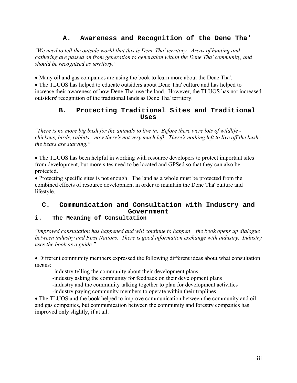## **A. Awareness and Recognition of the Dene Tha'**

*"We need to tell the outside world that this is Dene Tha' territory. Areas of hunting and gathering are passed on from generation to generation within the Dene Tha' community, and should be recognized as territory."*

• Many oil and gas companies are using the book to learn more about the Dene Tha'.

• The TLUOS has helped to educate outsiders about Dene Tha' culture and has helped to increase their awareness of how Dene Tha' use the land. However, the TLUOS has not increased outsiders' recognition of the traditional lands as Dene Tha' territory.

## **B. Protecting Traditional Sites and Traditional Uses**

*"There is no more big bush for the animals to live in. Before there were lots of wildlife chickens, birds, rabbits - now there's not very much left. There's nothing left to live off the bush the bears are starving."*

• The TLUOS has been helpful in working with resource developers to protect important sites from development, but more sites need to be located and GPSed so that they can also be protected.

• Protecting specific sites is not enough. The land as a whole must be protected from the combined effects of resource development in order to maintain the Dene Tha' culture and lifestyle.

## **C. Communication and Consultation with Industry and Government**

## **i. The Meaning of Consultation**

*"Improved consultation has happened and will continue to happen the book opens up dialogue between industry and First Nations. There is good information exchange with industry. Industry uses the book as a guide."*

• Different community members expressed the following different ideas about what consultation means:

-industry telling the community about their development plans

-industry asking the community for feedback on their development plans

-industry and the community talking together to plan for development activities

-industry paying community members to operate within their traplines

• The TLUOS and the book helped to improve communication between the community and oil and gas companies, but communication between the community and forestry companies has improved only slightly, if at all.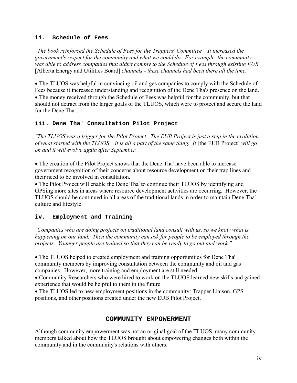#### **ii. Schedule of Fees**

*"The book reinforced the Schedule of Fees for the Trappers' Committee It increased the government's respect for the community and what we could do. For example, the community was able to address companies that didn't comply to the Schedule of Fees through existing EUB*  [Alberta Energy and Utilities Board] *channels - these channels had been there all the time."*

• The TLUOS was helpful in convincing oil and gas companies to comply with the Schedule of Fees because it increased understanding and recognition of the Dene Tha's presence on the land. • The money received through the Schedule of Fees was helpful for the community, but that should not detract from the larger goals of the TLUOS, which were to protect and secure the land for the Dene Tha'.

## **iii. Dene Tha' Consultation Pilot Project**

*"The TLUOS was a trigger for the Pilot Project. The EUB Project is just a step in the evolution of what started with the TLUOS it is all a part of the same thing. It* [the EUB Project] *will go on and it will evolve again after September."*

• The creation of the Pilot Project shows that the Dene Tha' have been able to increase government recognition of their concerns about resource development on their trap lines and their need to be involved in consultation.

• The Pilot Project will enable the Dene Tha' to continue their TLUOS by identifying and GPSing more sites in areas where resource development activities are occurring. However, the TLUOS should be continued in all areas of the traditional lands in order to maintain Dene Tha' culture and lifestyle.

## **iv. Employment and Training**

*"Companies who are doing projects on traditional land consult with us, so we know what is happening on our land. Then the community can ask for people to be employed through the projects. Younger people are trained so that they can be ready to go out and work."*

• The TLUOS helped to created employment and training opportunities for Dene Tha' community members by improving consultation between the community and oil and gas companies. However, more training and employment are still needed.

• Community Researchers who were hired to work on the TLUOS learned new skills and gained experience that would be helpful to them in the future.

• The TLUOS led to new employment positions in the community: Trapper Liaison, GPS positions, and other positions created under the new EUB Pilot Project.

## **COMMUNITY EMPOWERMENT**

Although community empowerment was not an original goal of the TLUOS, many community members talked about how the TLUOS brought about empowering changes both within the community and in the community's relations with others.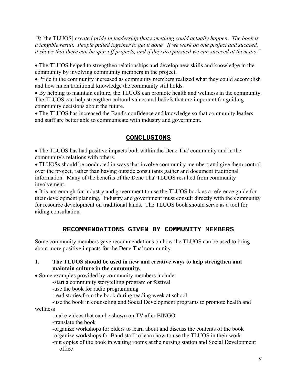*"It* [the TLUOS] *created pride in leadership that something could actually happen. The book is a tangible result. People pulled together to get it done. If we work on one project and succeed, it shows that there can be spin-off projects, and if they are pursued we can succeed at them too."*

• The TLUOS helped to strengthen relationships and develop new skills and knowledge in the community by involving community members in the project.

• Pride in the community increased as community members realized what they could accomplish and how much traditional knowledge the community still holds.

• By helping to maintain culture, the TLUOS can promote health and wellness in the community. The TLUOS can help strengthen cultural values and beliefs that are important for guiding community decisions about the future.

• The TLUOS has increased the Band's confidence and knowledge so that community leaders and staff are better able to communicate with industry and government.

## **CONCLUSIONS**

• The TLUOS has had positive impacts both within the Dene Tha' community and in the community's relations with others.

• TLUOSs should be conducted in ways that involve community members and give them control over the project, rather than having outside consultants gather and document traditional information. Many of the benefits of the Dene Tha' TLUOS resulted from community involvement.

• It is not enough for industry and government to use the TLUOS book as a reference guide for their development planning. Industry and government must consult directly with the community for resource development on traditional lands. The TLUOS book should serve as a tool for aiding consultation.

## **RECOMMENDATIONS GIVEN BY COMMUNITY MEMBERS**

Some community members gave recommendations on how the TLUOS can be used to bring about more positive impacts for the Dene Tha' community.

#### **1. The TLUOS should be used in new and creative ways to help strengthen and maintain culture in the community.**

• Some examples provided by community members include:

-start a community storytelling program or festival

-use the book for radio programming

-read stories from the book during reading week at school

 -use the book in counseling and Social Development programs to promote health and wellness

-make videos that can be shown on TV after BINGO

-translate the book

-organize workshops for elders to learn about and discuss the contents of the book -organize workshops for Band staff to learn how to use the TLUOS in their work

-put copies of the book in waiting rooms at the nursing station and Social Development office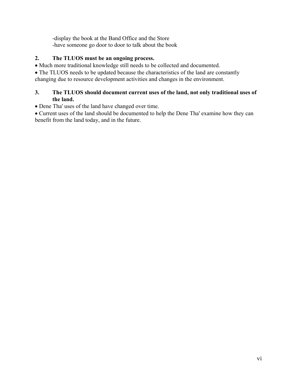-display the book at the Band Office and the Store -have someone go door to door to talk about the book

## **2. The TLUOS must be an ongoing process.**

- Much more traditional knowledge still needs to be collected and documented.
- The TLUOS needs to be updated because the characteristics of the land are constantly

changing due to resource development activities and changes in the environment.

## **3. The TLUOS should document current uses of the land, not only traditional uses of the land.**

• Dene Tha' uses of the land have changed over time.

• Current uses of the land should be documented to help the Dene Tha' examine how they can benefit from the land today, and in the future.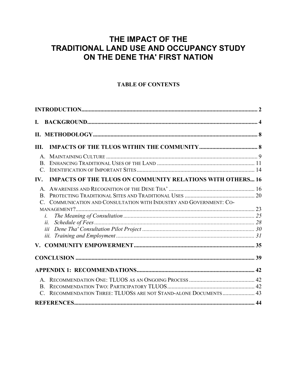# THE IMPACT OF THE TRADITIONAL LAND USE AND OCCUPANCY STUDY ON THE DENE THA' FIRST NATION

## **TABLE OF CONTENTS**

| L.                                                                          |  |
|-----------------------------------------------------------------------------|--|
|                                                                             |  |
| III.                                                                        |  |
| $\mathsf{A}$                                                                |  |
| $\mathbf{B}$                                                                |  |
| $\mathcal{C}$                                                               |  |
| <b>IMPACTS OF THE TLUOS ON COMMUNITY RELATIONS WITH OTHERS 16</b><br>IV.    |  |
|                                                                             |  |
|                                                                             |  |
| COMMUNICATION AND CONSULTATION WITH INDUSTRY AND GOVERNMENT: CO-<br>$C_{-}$ |  |
|                                                                             |  |
| $\dot{L}$                                                                   |  |
| ii.                                                                         |  |
|                                                                             |  |
|                                                                             |  |
|                                                                             |  |
|                                                                             |  |
|                                                                             |  |
|                                                                             |  |
|                                                                             |  |
| RECOMMENDATION THREE: TLUOSS ARE NOT STAND-ALONE DOCUMENTS 43               |  |
|                                                                             |  |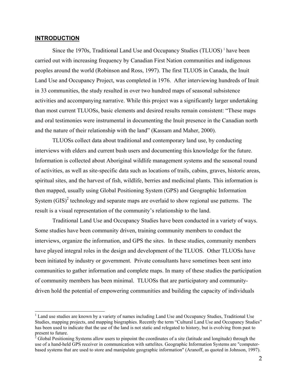#### <span id="page-10-0"></span>**INTRODUCTION**

 $\overline{a}$ 

Since the [1](#page-10-1)970s, Traditional Land Use and Occupancy Studies (TLUOS)<sup>1</sup> have been carried out with increasing frequency by Canadian First Nation communities and indigenous peoples around the world (Robinson and Ross, 1997). The first TLUOS in Canada, the Inuit Land Use and Occupancy Project, was completed in 1976. After interviewing hundreds of Inuit in 33 communities, the study resulted in over two hundred maps of seasonal subsistence activities and accompanying narrative. While this project was a significantly larger undertaking than most current TLUOSs, basic elements and desired results remain consistent: "These maps and oral testimonies were instrumental in documenting the Inuit presence in the Canadian north and the nature of their relationship with the land" (Kassam and Maher, 2000).

TLUOSs collect data about traditional and contemporary land use, by conducting interviews with elders and current bush users and documenting this knowledge for the future. Information is collected about Aboriginal wildlife management systems and the seasonal round of activities, as well as site-specific data such as locations of trails, cabins, graves, historic areas, spiritual sites, and the harvest of fish, wildlife, berries and medicinal plants. This information is then mapped, usually using Global Positioning System (GPS) and Geographic Information System  $(GIS)^2$  $(GIS)^2$  technology and separate maps are overlaid to show regional use patterns. The result is a visual representation of the community's relationship to the land.

Traditional Land Use and Occupancy Studies have been conducted in a variety of ways. Some studies have been community driven, training community members to conduct the interviews, organize the information, and GPS the sites. In these studies, community members have played integral roles in the design and development of the TLUOS. Other TLUOSs have been initiated by industry or government. Private consultants have sometimes been sent into communities to gather information and complete maps. In many of these studies the participation of community members has been minimal. TLUOSs that are participatory and communitydriven hold the potential of empowering communities and building the capacity of individuals

<span id="page-10-1"></span><sup>&</sup>lt;sup>1</sup> Land use studies are known by a variety of names including Land Use and Occupancy Studies, Traditional Use Studies, mapping projects, and mapping biographies. Recently the term "Cultural Land Use and Occupancy Studies" has been used to indicate that the use of the land is not static and relegated to history, but is evolving from past to present to future.<br><sup>2</sup> Global Positioning Systems allow users to pinpoint the coordinates of a site (latitude and longitude) through the

<span id="page-10-2"></span>use of a hand-held GPS receiver in communication with sattelites. Geographic Information Systems are "computerbased systems that are used to store and manipulate geographic information" (Aranoff, as quoted in Johnson, 1997).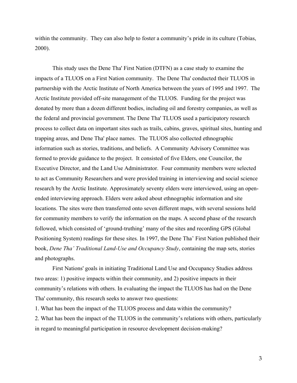within the community. They can also help to foster a community's pride in its culture (Tobias, 2000).

This study uses the Dene Tha' First Nation (DTFN) as a case study to examine the impacts of a TLUOS on a First Nation community. The Dene Tha' conducted their TLUOS in partnership with the Arctic Institute of North America between the years of 1995 and 1997. The Arctic Institute provided off-site management of the TLUOS. Funding for the project was donated by more than a dozen different bodies, including oil and forestry companies, as well as the federal and provincial government. The Dene Tha' TLUOS used a participatory research process to collect data on important sites such as trails, cabins, graves, spiritual sites, hunting and trapping areas, and Dene Tha' place names. The TLUOS also collected ethnographic information such as stories, traditions, and beliefs. A Community Advisory Committee was formed to provide guidance to the project. It consisted of five Elders, one Councilor, the Executive Director, and the Land Use Administrator. Four community members were selected to act as Community Researchers and were provided training in interviewing and social science research by the Arctic Institute. Approximately seventy elders were interviewed, using an openended interviewing approach. Elders were asked about ethnographic information and site locations. The sites were then transferred onto seven different maps, with several sessions held for community members to verify the information on the maps. A second phase of the research followed, which consisted of 'ground-truthing' many of the sites and recording GPS (Global Positioning System) readings for these sites. In 1997, the Dene Tha' First Nation published their book, *Dene Tha' Traditional Land-Use and Occupancy Study*, containing the map sets, stories and photographs.

First Nations' goals in initiating Traditional Land Use and Occupancy Studies address two areas: 1) positive impacts within their community, and 2) positive impacts in their community's relations with others. In evaluating the impact the TLUOS has had on the Dene Tha' community, this research seeks to answer two questions:

1. What has been the impact of the TLUOS process and data within the community?

2. What has been the impact of the TLUOS in the community's relations with others, particularly in regard to meaningful participation in resource development decision-making?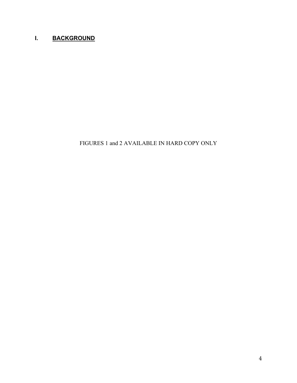## <span id="page-12-0"></span>**I. BACKGROUND**

FIGURES 1 and 2 AVAILABLE IN HARD COPY ONLY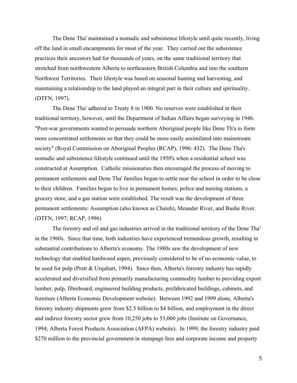The Dene Tha' maintained a nomadic and subsistence lifestyle until quite recently, living off the land in small encampments for most of the year. They carried out the subsistence practices their ancestors had for thousands of years, on the same traditional territory that stretched from northwestern Alberta to northeastern British Columbia and into the southern Northwest Territories. Their lifestyle was based on seasonal hunting and harvesting, and maintaining a relationship to the land played an integral part in their culture and spirituality. (DTFN, 1997).

The Dene Tha' adhered to Treaty 8 in 1900. No reserves were established in their traditional territory, however, until the Department of Indian Affairs began surveying in 1946. "Post-war governments wanted to persuade northern Aboriginal people like Dene Th'a to form more concentrated settlements so that they could be more easily assimilated into mainstream society" (Royal Commission on Aboriginal Peoples (RCAP), 1996: 432). The Dene Tha's nomadic and subsistence lifestyle continued until the 1950's when a residential school was constructed at Assumption. Catholic missionaries then encouraged the process of moving to permanent settlements and Dene Tha' families began to settle near the school in order to be close to their children. Families began to live in permanent homes; police and nursing stations, a grocery store, and a gas station were established. The result was the development of three permanent settlements: Assumption (also known as Chateh), Meander River, and Bushe River. (DTFN, 1997; RCAP, 1996)

The forestry and oil and gas industries arrived in the traditional territory of the Dene Tha' in the 1960s. Since that time, both industries have experienced tremendous growth, resulting in substantial contributions to Alberta's economy. The 1980s saw the development of new technology that enabled hardwood aspen, previously considered to be of no economic value, to be used for pulp (Pratt & Urquhart, 1994). Since then, Alberta's forestry industry has rapidly accelerated and diversified from primarily manufacturing commodity lumber to providing export lumber, pulp, fibreboard, engineered building products, prefabricated buildings, cabinets, and furniture (Alberta Economic Development website). Between 1992 and 1999 alone, Alberta's forestry industry shipments grew from \$2.5 billion to \$4 billion, and employment in the direct and indirect forestry sector grew from 10,250 jobs to 53,000 jobs (Institute on Governance, 1994; Alberta Forest Products Association (AFPA) website). In 1999, the forestry industry paid \$270 million to the provincial government in stumpage fees and corporate income and property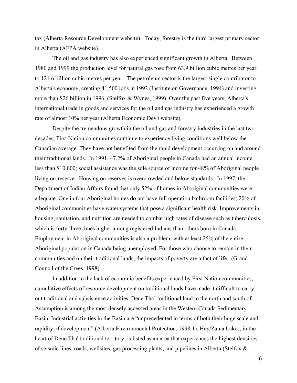tax (Alberta Resource Development website). Today, forestry is the third largest primary sector in Alberta (AFPA website).

The oil and gas industry has also experienced significant growth in Alberta. Between 1980 and 1999 the production level for natural gas rose from 63.9 billion cubic metres per year to 121.6 billion cubic metres per year. The petroleum sector is the largest single contributor to Alberta's economy, creating 41,500 jobs in 1992 (Institute on Governance, 1994) and investing more than \$26 billion in 1996. (Stelfox & Wynes, 1999) Over the past five years, Alberta's international trade in goods and services for the oil and gas industry has experienced a growth rate of almost 10% per year (Alberta Economic Dev't website).

Despite the tremendous growth in the oil and gas and forestry industries in the last two decades, First Nation communities continue to experience living conditions well below the Canadian average. They have not benefited from the rapid development occurring on and around their traditional lands. In 1991, 47.2% of Aboriginal people in Canada had an annual income less than \$10,000; social assistance was the sole source of income for 48% of Aboriginal people living on-reserve. Housing on reserves is overcrowded and below standards. In 1997, the Department of Indian Affairs found that only 52% of homes in Aboriginal communities were adequate. One in four Aboriginal homes do not have full operation bathroom facilities; 20% of Aboriginal communities have water systems that pose a significant health risk. Improvements in housing, sanitation, and nutrition are needed to combat high rates of disease such as tuberculosis, which is forty-three times higher among registered Indians than others born in Canada. Employment in Aboriginal communities is also a problem, with at least 25% of the entire Aboriginal population in Canada being unemployed. For those who choose to remain in their communities and on their traditional lands, the impacts of poverty are a fact of life. (Grand Council of the Crees, 1998).

In addition to the lack of economic benefits experienced by First Nation communities, cumulative effects of resource development on traditional lands have made it difficult to carry out traditional and subsistence activities. Dene Tha' traditional land to the north and south of Assumption is among the most densely accessed areas in the Western Canada Sedimentary Basin. Industrial activities in the Basin are "unprecedented in terms of both their huge scale and rapidity of development" (Alberta Environmental Protection, 1998:1). Hay/Zama Lakes, in the heart of Dene Tha' traditional territory, is listed as an area that experiences the highest densities of seismic lines, roads, wellsites, gas processing plants, and pipelines in Alberta (Stelfox &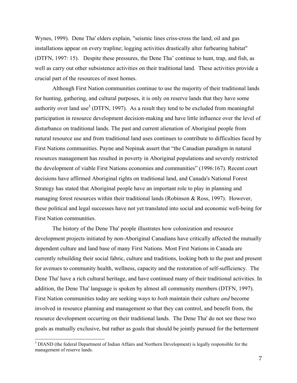Wynes, 1999). Dene Tha' elders explain, "seismic lines criss-cross the land; oil and gas installations appear on every trapline; logging activities drastically alter furbearing habitat" (DTFN, 1997: 15). Despite these pressures, the Dene Tha' continue to hunt, trap, and fish, as well as carry out other subsistence activities on their traditional land. These activities provide a crucial part of the resources of most homes.

Although First Nation communities continue to use the majority of their traditional lands for hunting, gathering, and cultural purposes, it is only on reserve lands that they have some authority over land use<sup>3</sup> (DTFN, 1997). As a result they tend to be excluded from meaningful participation in resource development decision-making and have little influence over the level of disturbance on traditional lands. The past and current alienation of Aboriginal people from natural resource use and from traditional land uses continues to contribute to difficulties faced by First Nations communities. Payne and Nepinak assert that "the Canadian paradigm in natural resources management has resulted in poverty in Aboriginal populations and severely restricted the development of viable First Nations economies and communities" (1996:167). Recent court decisions have affirmed Aboriginal rights on traditional land, and Canada's National Forest Strategy has stated that Aboriginal people have an important role to play in planning and managing forest resources within their traditional lands (Robinson & Ross, 1997). However, these political and legal successes have not yet translated into social and economic well-being for First Nation communities.

The history of the Dene Tha' people illustrates how colonization and resource development projects initiated by non-Aboriginal Canadians have critically affected the mutually dependent culture and land base of many First Nations. Most First Nations in Canada are currently rebuilding their social fabric, culture and traditions, looking both to the past and present for avenues to community health, wellness, capacity and the restoration of self-sufficiency. The Dene Tha' have a rich cultural heritage, and have continued many of their traditional activities. In addition, the Dene Tha' language is spoken by almost all community members (DTFN, 1997). First Nation communities today are seeking ways to *both* maintain their culture *and* become involved in resource planning and management so that they can control, and benefit from, the resource development occurring on their traditional lands. The Dene Tha' do not see these two goals as mutually exclusive, but rather as goals that should be jointly pursued for the betterment

 $\overline{a}$ 

<span id="page-15-0"></span><sup>&</sup>lt;sup>3</sup> DIAND (the federal Department of Indian Affairs and Northern Development) is legally responsible for the management of reserve lands.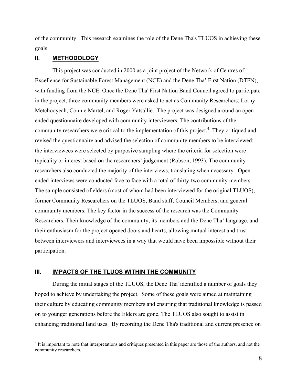<span id="page-16-0"></span>of the community. This research examines the role of the Dene Tha's TLUOS in achieving these goals.

#### **II. METHODOLOGY**

 $\overline{a}$ 

This project was conducted in 2000 as a joint project of the Network of Centres of Excellence for Sustainable Forest Management (NCE) and the Dene Tha' First Nation (DTFN), with funding from the NCE. Once the Dene Tha' First Nation Band Council agreed to participate in the project, three community members were asked to act as Community Researchers: Lorny Metchooyeah, Connie Martel, and Roger Yatsallie. The project was designed around an openended questionnaire developed with community interviewers. The contributions of the community researchers were critical to the implementation of this project. $4$  They critiqued and revised the questionnaire and advised the selection of community members to be interviewed; the interviewees were selected by purposive sampling where the criteria for selection were typicality or interest based on the researchers' judgement (Robson, 1993). The community researchers also conducted the majority of the interviews, translating when necessary. Openended interviews were conducted face to face with a total of thirty-two community members. The sample consisted of elders (most of whom had been interviewed for the original TLUOS), former Community Researchers on the TLUOS, Band staff, Council Members, and general community members. The key factor in the success of the research was the Community Researchers. Their knowledge of the community, its members and the Dene Tha' language, and their enthusiasm for the project opened doors and hearts, allowing mutual interest and trust between interviewers and interviewees in a way that would have been impossible without their participation.

#### **III. IMPACTS OF THE TLUOS WITHIN THE COMMUNITY**

During the initial stages of the TLUOS, the Dene Tha' identified a number of goals they hoped to achieve by undertaking the project. Some of these goals were aimed at maintaining their culture by educating community members and ensuring that traditional knowledge is passed on to younger generations before the Elders are gone. The TLUOS also sought to assist in enhancing traditional land uses. By recording the Dene Tha's traditional and current presence on

<span id="page-16-1"></span><sup>&</sup>lt;sup>4</sup> It is important to note that interpretations and critiques presented in this paper are those of the authors, and not the community researchers.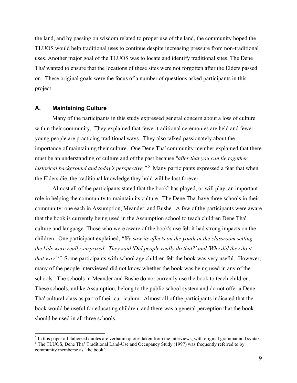<span id="page-17-0"></span>the land, and by passing on wisdom related to proper use of the land, the community hoped the TLUOS would help traditional uses to continue despite increasing pressure from non-traditional uses. Another major goal of the TLUOS was to locate and identify traditional sites. The Dene Tha' wanted to ensure that the locations of these sites were not forgotten after the Elders passed on. These original goals were the focus of a number of questions asked participants in this project.

#### **A. Maintaining Culture**

Many of the participants in this study expressed general concern about a loss of culture within their community. They explained that fewer traditional ceremonies are held and fewer young people are practicing traditional ways. They also talked passionately about the importance of maintaining their culture. One Dene Tha' community member explained that there must be an understanding of culture and of the past because *"after that you can tie together*  historical background and today's perspective."<sup>[5](#page-17-1)</sup> Many participants expressed a fear that when the Elders die, the traditional knowledge they hold will be lost forever.

Almost all of the participants stated that the book<sup>[6](#page-17-2)</sup> has played, or will play, an important role in helping the community to maintain its culture. The Dene Tha' have three schools in their community: one each in Assumption, Meander, and Bushe. A few of the participants were aware that the book is currently being used in the Assumption school to teach children Dene Tha' culture and language. Those who were aware of the book's use felt it had strong impacts on the children. One participant explained, *"We saw its effects on the youth in the classroom setting the kids were really surprised. They said 'Did people really do that?' and 'Why did they do it that way?'"* Some participants with school age children felt the book was very useful. However, many of the people interviewed did not know whether the book was being used in any of the schools. The schools in Meander and Bushe do not currently use the book to teach children. These schools, unlike Assumption, belong to the public school system and do not offer a Dene Tha' cultural class as part of their curriculum. Almost all of the participants indicated that the book would be useful for educating children, and there was a general perception that the book should be used in all three schools.

<span id="page-17-2"></span><span id="page-17-1"></span><sup>&</sup>lt;sup>5</sup> In this paper all italicized quotes are verbatim quotes taken from the interviews, with original grammar and syntax. <sup>6</sup> The TLUOS, Dene Tha' Traditional Land-Use and Occupancy Study (1997) was frequently referred to by community memberse as "the book".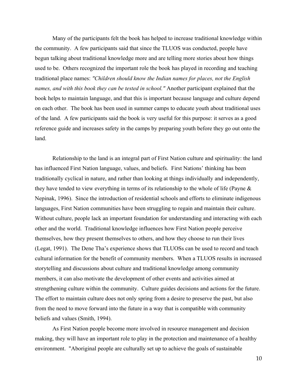Many of the participants felt the book has helped to increase traditional knowledge within the community. A few participants said that since the TLUOS was conducted, people have begun talking about traditional knowledge more and are telling more stories about how things used to be. Others recognized the important role the book has played in recording and teaching traditional place names: *"Children should know the Indian names for places, not the English names, and with this book they can be tested in school."* Another participant explained that the book helps to maintain language, and that this is important because language and culture depend on each other. The book has been used in summer camps to educate youth about traditional uses of the land. A few participants said the book is very useful for this purpose: it serves as a good reference guide and increases safety in the camps by preparing youth before they go out onto the land.

Relationship to the land is an integral part of First Nation culture and spirituality: the land has influenced First Nation language, values, and beliefs. First Nations' thinking has been traditionally cyclical in nature, and rather than looking at things individually and independently, they have tended to view everything in terms of its relationship to the whole of life (Payne & Nepinak, 1996). Since the introduction of residential schools and efforts to eliminate indigenous languages, First Nation communities have been struggling to regain and maintain their culture. Without culture, people lack an important foundation for understanding and interacting with each other and the world. Traditional knowledge influences how First Nation people perceive themselves, how they present themselves to others, and how they choose to run their lives (Legat, 1991). The Dene Tha's experience shows that TLUOSs can be used to record and teach cultural information for the benefit of community members. When a TLUOS results in increased storytelling and discussions about culture and traditional knowledge among community members, it can also motivate the development of other events and activities aimed at strengthening culture within the community. Culture guides decisions and actions for the future. The effort to maintain culture does not only spring from a desire to preserve the past, but also from the need to move forward into the future in a way that is compatible with community beliefs and values (Smith, 1994).

As First Nation people become more involved in resource management and decision making, they will have an important role to play in the protection and maintenance of a healthy environment. "Aboriginal people are culturally set up to achieve the goals of sustainable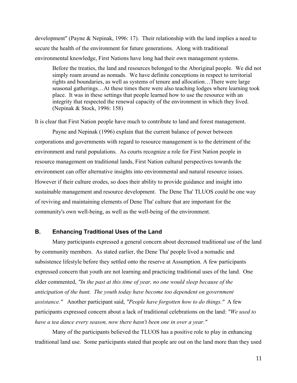<span id="page-19-0"></span>development" (Payne & Nepinak, 1996: 17). Their relationship with the land implies a need to secure the health of the environment for future generations. Along with traditional environmental knowledge, First Nations have long had their own management systems.

Before the treaties, the land and resources belonged to the Aboriginal people. We did not simply roam around as nomads. We have definite conceptions in respect to territorial rights and boundaries, as well as systems of tenure and allocation…There were large seasonal gatherings…At these times there were also teaching lodges where learning took place. It was in these settings that people learned how to use the resource with an integrity that respected the renewal capacity of the environment in which they lived. (Nepinak & Stock, 1996: 158)

It is clear that First Nation people have much to contribute to land and forest management.

Payne and Nepinak (1996) explain that the current balance of power between corporations and governments with regard to resource management is to the detriment of the environment and rural populations. As courts recognize a role for First Nation people in resource management on traditional lands, First Nation cultural perspectives towards the environment can offer alternative insights into environmental and natural resource issues. However if their culture erodes, so does their ability to provide guidance and insight into sustainable management and resource development. The Dene Tha' TLUOS could be one way of reviving and maintaining elements of Dene Tha' culture that are important for the community's own well-being, as well as the well-being of the environment.

#### **B. Enhancing Traditional Uses of the Land**

Many participants expressed a general concern about decreased traditional use of the land by community members. As stated earlier, the Dene Tha' people lived a nomadic and subsistence lifestyle before they settled onto the reserve at Assumption. A few participants expressed concern that youth are not learning and practicing traditional uses of the land. One elder commented, *"In the past at this time of year, no one would sleep because of the anticipation of the hunt. The youth today have become too dependent on government assistance."* Another participant said, *"People have forgotten how to do things."* A few participants expressed concern about a lack of traditional celebrations on the land: *"We used to have a tea dance every season, now there hasn't been one in over a year."* 

Many of the participants believed the TLUOS has a positive role to play in enhancing traditional land use. Some participants stated that people are out on the land more than they used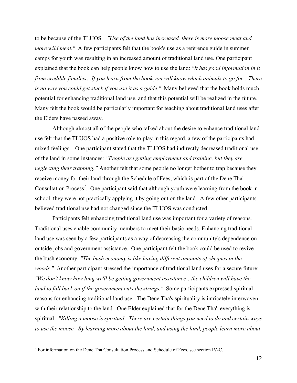to be because of the TLUOS. *"Use of the land has increased, there is more moose meat and more wild meat.*" A few participants felt that the book's use as a reference guide in summer camps for youth was resulting in an increased amount of traditional land use. One participant explained that the book can help people know how to use the land: *"It has good information in it from credible families…If you learn from the book you will know which animals to go for…There is no way you could get stuck if you use it as a guide."* Many believed that the book holds much potential for enhancing traditional land use, and that this potential will be realized in the future. Many felt the book would be particularly important for teaching about traditional land uses after the Elders have passed away.

Although almost all of the people who talked about the desire to enhance traditional land use felt that the TLUOS had a positive role to play in this regard, a few of the participants had mixed feelings. One participant stated that the TLUOS had indirectly decreased traditional use of the land in some instances: *"People are getting employment and training, but they are neglecting their trapping."* Another felt that some people no longer bother to trap because they receive money for their land through the Schedule of Fees, which is part of the Dene Tha' Consultation Process<sup>[7](#page-20-0)</sup>. One participant said that although youth were learning from the book in school, they were not practically applying it by going out on the land. A few other participants believed traditional use had not changed since the TLUOS was conducted.

Participants felt enhancing traditional land use was important for a variety of reasons. Traditional uses enable community members to meet their basic needs. Enhancing traditional land use was seen by a few participants as a way of decreasing the community's dependence on outside jobs and government assistance. One participant felt the book could be used to revive the bush economy: *"The bush economy is like having different amounts of cheques in the woods."* Another participant stressed the importance of traditional land uses for a secure future: *"We don't know how long we'll be getting government assistance…the children will have the land to fall back on if the government cuts the strings."* Some participants expressed spiritual reasons for enhancing traditional land use. The Dene Tha's spirituality is intricately interwoven with their relationship to the land. One Elder explained that for the Dene Tha', everything is spiritual*. "Killing a moose is spiritual. There are certain things you need to do and certain ways to use the moose. By learning more about the land, and using the land, people learn more about* 

<span id="page-20-0"></span><sup>&</sup>lt;sup>7</sup> For information on the Dene Tha Consultation Process and Schedule of Fees, see section IV-C.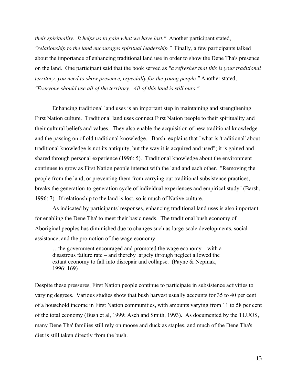*their spirituality. It helps us to gain what we have lost."* Another participant stated, *"relationship to the land encourages spiritual leadership."* Finally, a few participants talked about the importance of enhancing traditional land use in order to show the Dene Tha's presence on the land. One participant said that the book served as *"a refresher that this is your traditional territory, you need to show presence, especially for the young people."* Another stated, *"Everyone should use all of the territory. All of this land is still ours."* 

Enhancing traditional land uses is an important step in maintaining and strengthening First Nation culture. Traditional land uses connect First Nation people to their spirituality and their cultural beliefs and values. They also enable the acquisition of new traditional knowledge and the passing on of old traditional knowledge. Barsh explains that "what is 'traditional' about traditional knowledge is not its antiquity, but the way it is acquired and used"; it is gained and shared through personal experience (1996: 5). Traditional knowledge about the environment continues to grow as First Nation people interact with the land and each other. "Removing the people from the land, or preventing them from carrying out traditional subsistence practices, breaks the generation-to-generation cycle of individual experiences and empirical study" (Barsh, 1996: 7). If relationship to the land is lost, so is much of Native culture.

As indicated by participants' responses, enhancing traditional land uses is also important for enabling the Dene Tha' to meet their basic needs. The traditional bush economy of Aboriginal peoples has diminished due to changes such as large-scale developments, social assistance, and the promotion of the wage economy.

…the government encouraged and promoted the wage economy – with a disastrous failure rate – and thereby largely through neglect allowed the extant economy to fall into disrepair and collapse. (Payne & Nepinak, 1996: 169)

Despite these pressures, First Nation people continue to participate in subsistence activities to varying degrees. Various studies show that bush harvest usually accounts for 35 to 40 per cent of a household income in First Nation communities, with amounts varying from 11 to 58 per cent of the total economy (Bush et al, 1999; Asch and Smith, 1993). As documented by the TLUOS, many Dene Tha' families still rely on moose and duck as staples, and much of the Dene Tha's diet is still taken directly from the bush.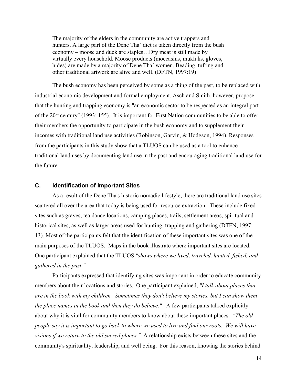<span id="page-22-0"></span>The majority of the elders in the community are active trappers and hunters. A large part of the Dene Tha' diet is taken directly from the bush economy – moose and duck are staples…Dry meat is still made by virtually every household. Moose products (moccasins, mukluks, gloves, hides) are made by a majority of Dene Tha' women. Beading, tufting and other traditional artwork are alive and well. (DFTN, 1997:19)

The bush economy has been perceived by some as a thing of the past, to be replaced with industrial economic development and formal employment. Asch and Smith, however, propose that the hunting and trapping economy is "an economic sector to be respected as an integral part of the 20<sup>th</sup> century" (1993: 155). It is important for First Nation communities to be able to offer their members the opportunity to participate in the bush economy and to supplement their incomes with traditional land use activities (Robinson, Garvin, & Hodgson, 1994). Responses from the participants in this study show that a TLUOS can be used as a tool to enhance traditional land uses by documenting land use in the past and encouraging traditional land use for the future.

#### **C. Identification of Important Sites**

As a result of the Dene Tha's historic nomadic lifestyle, there are traditional land use sites scattered all over the area that today is being used for resource extraction. These include fixed sites such as graves, tea dance locations, camping places, trails, settlement areas, spiritual and historical sites, as well as larger areas used for hunting, trapping and gathering (DTFN, 1997: 13). Most of the participants felt that the identification of these important sites was one of the main purposes of the TLUOS. Maps in the book illustrate where important sites are located. One participant explained that the TLUOS *"shows where we lived, traveled, hunted, fished, and gathered in the past."*

Participants expressed that identifying sites was important in order to educate community members about their locations and stories. One participant explained, *"I talk about places that are in the book with my children. Sometimes they don't believe my stories, but I can show them the place names in the book and then they do believe."* A few participants talked explicitly about why it is vital for community members to know about these important places. *"The old people say it is important to go back to where we used to live and find our roots. We will have visions if we return to the old sacred places."* A relationship exists between these sites and the community's spirituality, leadership, and well being. For this reason, knowing the stories behind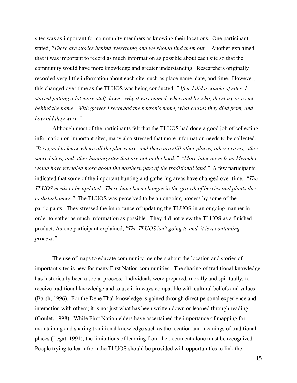sites was as important for community members as knowing their locations. One participant stated, *"There are stories behind everything and we should find them out."* Another explained that it was important to record as much information as possible about each site so that the community would have more knowledge and greater understanding. Researchers originally recorded very little information about each site, such as place name, date, and time. However, this changed over time as the TLUOS was being conducted: *"After I did a couple of sites, I started putting a lot more stuff down - why it was named, when and by who, the story or event behind the name. With graves I recorded the person's name, what causes they died from, and how old they were."*

Although most of the participants felt that the TLUOS had done a good job of collecting information on important sites, many also stressed that more information needs to be collected. *"It is good to know where all the places are, and there are still other places, other graves, other sacred sites, and other hunting sites that are not in the book." "More interviews from Meander would have revealed more about the northern part of the traditional land."* A few participants indicated that some of the important hunting and gathering areas have changed over time. *"The TLUOS needs to be updated. There have been changes in the growth of berries and plants due to disturbances."* The TLUOS was perceived to be an ongoing process by some of the participants. They stressed the importance of updating the TLUOS in an ongoing manner in order to gather as much information as possible. They did not view the TLUOS as a finished product. As one participant explained, *"The TLUOS isn't going to end, it is a continuing process."* 

The use of maps to educate community members about the location and stories of important sites is new for many First Nation communities. The sharing of traditional knowledge has historically been a social process. Individuals were prepared, morally and spiritually, to receive traditional knowledge and to use it in ways compatible with cultural beliefs and values (Barsh, 1996). For the Dene Tha', knowledge is gained through direct personal experience and interaction with others; it is not just what has been written down or learned through reading (Goulet, 1998). While First Nation elders have ascertained the importance of mapping for maintaining and sharing traditional knowledge such as the location and meanings of traditional places (Legat, 1991), the limitations of learning from the document alone must be recognized. People trying to learn from the TLUOS should be provided with opportunities to link the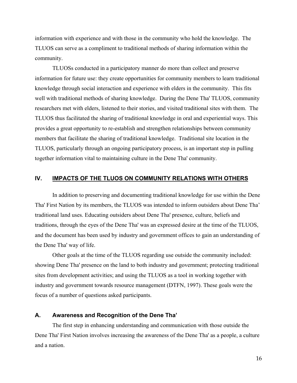<span id="page-24-0"></span>information with experience and with those in the community who hold the knowledge. The TLUOS can serve as a compliment to traditional methods of sharing information within the community.

TLUOSs conducted in a participatory manner do more than collect and preserve information for future use: they create opportunities for community members to learn traditional knowledge through social interaction and experience with elders in the community. This fits well with traditional methods of sharing knowledge. During the Dene Tha' TLUOS, community researchers met with elders, listened to their stories, and visited traditional sites with them. The TLUOS thus facilitated the sharing of traditional knowledge in oral and experiential ways. This provides a great opportunity to re-establish and strengthen relationships between community members that facilitate the sharing of traditional knowledge. Traditional site location in the TLUOS, particularly through an ongoing participatory process, is an important step in pulling together information vital to maintaining culture in the Dene Tha' community.

#### **IV. IMPACTS OF THE TLUOS ON COMMUNITY RELATIONS WITH OTHERS**

In addition to preserving and documenting traditional knowledge for use within the Dene Tha' First Nation by its members, the TLUOS was intended to inform outsiders about Dene Tha' traditional land uses. Educating outsiders about Dene Tha' presence, culture, beliefs and traditions, through the eyes of the Dene Tha' was an expressed desire at the time of the TLUOS, and the document has been used by industry and government offices to gain an understanding of the Dene Tha' way of life.

Other goals at the time of the TLUOS regarding use outside the community included: showing Dene Tha' presence on the land to both industry and government; protecting traditional sites from development activities; and using the TLUOS as a tool in working together with industry and government towards resource management (DTFN, 1997). These goals were the focus of a number of questions asked participants.

#### **A. Awareness and Recognition of the Dene Tha'**

The first step in enhancing understanding and communication with those outside the Dene Tha' First Nation involves increasing the awareness of the Dene Tha' as a people, a culture and a nation.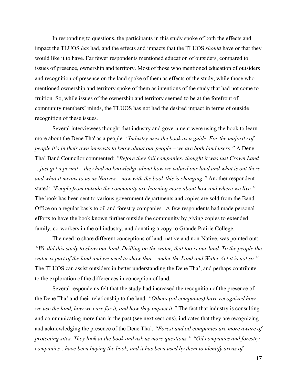In responding to questions, the participants in this study spoke of both the effects and impact the TLUOS *has* had, and the effects and impacts that the TLUOS *should* have or that they would like it to have. Far fewer respondents mentioned education of outsiders, compared to issues of presence, ownership and territory. Most of those who mentioned education of outsiders and recognition of presence on the land spoke of them as effects of the study, while those who mentioned ownership and territory spoke of them as intentions of the study that had not come to fruition. So, while issues of the ownership and territory seemed to be at the forefront of community members' minds, the TLUOS has not had the desired impact in terms of outside recognition of these issues.

Several interviewees thought that industry and government were using the book to learn more about the Dene Tha' as a people. *"Industry uses the book as a guide. For the majority of people it's in their own interests to know about our people – we are both land users."* A Dene Tha' Band Councilor commented: *"Before they (oil companies) thought it was just Crown Land …just get a permit – they had no knowledge about how we valued our land and what is out there and what it means to us as Natives – now with the book this is changing."* Another respondent stated: *"People from outside the community are learning more about how and where we live."*  The book has been sent to various government departments and copies are sold from the Band Office on a regular basis to oil and forestry companies. A few respondents had made personal efforts to have the book known further outside the community by giving copies to extended family, co-workers in the oil industry, and donating a copy to Grande Prairie College.

The need to share different conceptions of land, native and non-Native, was pointed out: *"We did this study to show our land. Drilling on the water, that too is our land. To the people the water is part of the land and we need to show that – under the Land and Water Act it is not so."* The TLUOS can assist outsiders in better understanding the Dene Tha', and perhaps contribute to the exploration of the differences in conception of land.

Several respondents felt that the study had increased the recognition of the presence of the Dene Tha' and their relationship to the land. *"Others (oil companies) have recognized how we use the land, how we care for it, and how they impact it."* The fact that industry is consulting and communicating more than in the past (see next sections), indicates that they are recognizing and acknowledging the presence of the Dene Tha'. *"Forest and oil companies are more aware of protecting sites. They look at the book and ask us more questions." "Oil companies and forestry companies…have been buying the book, and it has been used by them to identify areas of*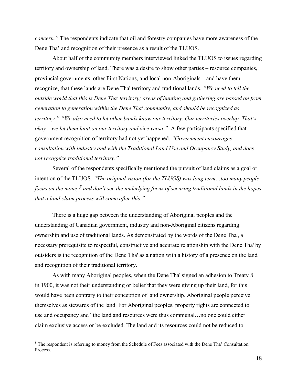*concern."* The respondents indicate that oil and forestry companies have more awareness of the Dene Tha' and recognition of their presence as a result of the TLUOS.

About half of the community members interviewed linked the TLUOS to issues regarding territory and ownership of land. There was a desire to show other parties – resource companies, provincial governments, other First Nations, and local non-Aboriginals – and have them recognize, that these lands are Dene Tha' territory and traditional lands. *"We need to tell the outside world that this is Dene Tha' territory; areas of hunting and gathering are passed on from generation to generation within the Dene Tha' community, and should be recognized as territory." "We also need to let other bands know our territory. Our territories overlap. That's okay – we let them hunt on our territory and vice versa."* A few participants specified that government recognition of territory had not yet happened. *"Government encourages consultation with industry and with the Traditional Land Use and Occupancy Study, and does not recognize traditional territory."* 

Several of the respondents specifically mentioned the pursuit of land claims as a goal or intention of the TLUOS. *"The original vision (for the TLUOS) was long term…too many people*  focus on the money<sup>8</sup> and don't see the underlying focus of securing traditional lands in the hopes *that a land claim process will come after this."*

There is a huge gap between the understanding of Aboriginal peoples and the understanding of Canadian government, industry and non-Aboriginal citizens regarding ownership and use of traditional lands. As demonstrated by the words of the Dene Tha', a necessary prerequisite to respectful, constructive and accurate relationship with the Dene Tha' by outsiders is the recognition of the Dene Tha' as a nation with a history of a presence on the land and recognition of their traditional territory.

As with many Aboriginal peoples, when the Dene Tha' signed an adhesion to Treaty 8 in 1900, it was not their understanding or belief that they were giving up their land, for this would have been contrary to their conception of land ownership. Aboriginal people perceive themselves as stewards of the land. For Aboriginal peoples, property rights are connected to use and occupancy and "the land and resources were thus communal…no one could either claim exclusive access or be excluded. The land and its resources could not be reduced to

 $\overline{a}$ 

<span id="page-26-0"></span><sup>&</sup>lt;sup>8</sup> The respondent is referring to money from the Schedule of Fees associated with the Dene Tha' Consultation **Process**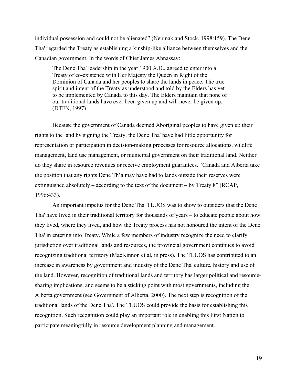individual possession and could not be alienated" (Nepinak and Stock, 1998:159). The Dene Tha' regarded the Treaty as establishing a kinship-like alliance between themselves and the Canadian government. In the words of Chief James Ahnassay:

The Dene Tha' leadership in the year 1900 A.D., agreed to enter into a Treaty of co-existence with Her Majesty the Queen in Right of the Dominion of Canada and her peoples to share the lands in peace. The true spirit and intent of the Treaty as understood and told by the Elders has yet to be implemented by Canada to this day. The Elders maintain that none of our traditional lands have ever been given up and will never be given up. (DTFN, 1997)

Because the government of Canada deemed Aboriginal peoples to have given up their rights to the land by signing the Treaty, the Dene Tha' have had little opportunity for representation or participation in decision-making processes for resource allocations, wildlife management, land use management, or municipal government on their traditional land. Neither do they share in resource revenues or receive employment guarantees. "Canada and Alberta take the position that any rights Dene Th'a may have had to lands outside their reserves were extinguished absolutely – according to the text of the document – by Treaty 8" (RCAP, 1996:433).

An important impetus for the Dene Tha' TLUOS was to show to outsiders that the Dene Tha' have lived in their traditional territory for thousands of years – to educate people about how they lived, where they lived, and how the Treaty process has not honoured the intent of the Dene Tha' in entering into Treaty. While a few members of industry recognize the need to clarify jurisdiction over traditional lands and resources, the provincial government continues to avoid recognizing traditional territory (MacKinnon et al, in press). The TLUOS has contributed to an increase in awareness by government and industry of the Dene Tha' culture, history and use of the land. However, recognition of traditional lands and territory has larger political and resourcesharing implications, and seems to be a sticking point with most governments, including the Alberta government (see Government of Alberta, 2000). The next step is recognition of the traditional lands of the Dene Tha'. The TLUOS could provide the basis for establishing this recognition. Such recognition could play an important role in enabling this First Nation to participate meaningfully in resource development planning and management.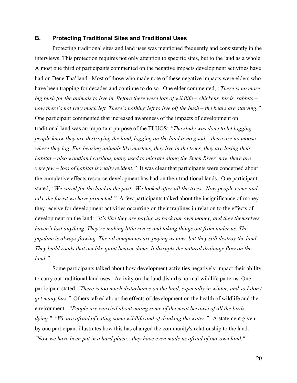#### <span id="page-28-0"></span>**B. Protecting Traditional Sites and Traditional Uses**

Protecting traditional sites and land uses was mentioned frequently and consistently in the interviews. This protection requires not only attention to specific sites, but to the land as a whole. Almost one third of participants commented on the negative impacts development activities have had on Dene Tha' land. Most of those who made note of these negative impacts were elders who have been trapping for decades and continue to do so. One elder commented, *"There is no more big bush for the animals to live in. Before there were lots of wildlife – chickens, birds, rabbits – now there's not very much left. There's nothing left to live off the bush – the bears are starving."* One participant commented that increased awareness of the impacts of development on traditional land was an important purpose of the TLUOS: *"The study was done to let logging people know they are destroying the land, logging on the land is no good – there are no moose where they log. Fur-bearing animals like martens, they live in the trees, they are losing their habitat – also woodland caribou, many used to migrate along the Steen River, now there are very few – loss of habitat is really evident."* It was clear that participants were concerned about the cumulative effects resource development has had on their traditional lands. One participant stated, *"We cared for the land in the past. We looked after all the trees. Now people come and take the forest we have protected."* A few participants talked about the insignificance of money they receive for development activities occurring on their traplines in relation to the effects of development on the land: *"it's like they are paying us back our own money, and they themselves haven't lost anything. They're making little rivers and taking things out from under us. The pipeline is always flowing. The oil companies are paying us now, but they still destroy the land. They build roads that act like giant beaver dams. It disrupts the natural drainage flow on the land."* 

Some participants talked about how development activities negatively impact their ability to carry out traditional land uses. Activity on the land disturbs normal wildlife patterns. One participant stated, *"There is too much disturbance on the land, especially in winter, and so I don't get many furs."* Others talked about the effects of development on the health of wildlife and the environment. *"People are worried about eating some of the meat because of all the birds dying." "We are afraid of eating some wildlife and of drinking the water."* A statement given by one participant illustrates how this has changed the community's relationship to the land: *"Now we have been put in a hard place…they have even made us afraid of our own land."*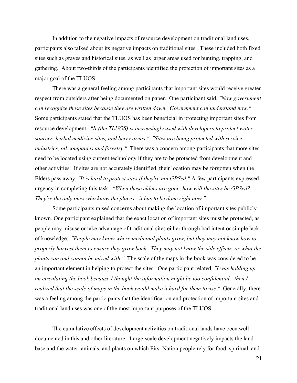In addition to the negative impacts of resource development on traditional land uses, participants also talked about its negative impacts on traditional sites. These included both fixed sites such as graves and historical sites, as well as larger areas used for hunting, trapping, and gathering. About two-thirds of the participants identified the protection of important sites as a major goal of the TLUOS.

There was a general feeling among participants that important sites would receive greater respect from outsiders after being documented on paper. One participant said, *"Now government can recognize these sites because they are written down. Government can understand now."* Some participants stated that the TLUOS has been beneficial in protecting important sites from resource development. *"It (the TLUOS) is increasingly used with developers to protect water sources, herbal medicine sites, and berry areas." "Sites are being protected with service industries, oil companies and forestry."* There was a concern among participants that more sites need to be located using current technology if they are to be protected from development and other activities. If sites are not accurately identified, their location may be forgotten when the Elders pass away. *"It is hard to protect sites if they're not GPSed."* A few participants expressed urgency in completing this task: *"When these elders are gone, how will the sites be GPSed? They're the only ones who know the places - it has to be done right now."* 

Some participants raised concerns about making the location of important sites publicly known. One participant explained that the exact location of important sites must be protected, as people may misuse or take advantage of traditional sites either through bad intent or simple lack of knowledge. *"People may know where medicinal plants grow, but they may not know how to properly harvest them to ensure they grow back. They may not know the side effects, or what the plants can and cannot be mixed with."* The scale of the maps in the book was considered to be an important element in helping to protect the sites. One participant related, *"I was holding up on circulating the book because I thought the information might be too confidential - then I realized that the scale of maps in the book would make it hard for them to use."* Generally, there was a feeling among the participants that the identification and protection of important sites and traditional land uses was one of the most important purposes of the TLUOS.

The cumulative effects of development activities on traditional lands have been well documented in this and other literature. Large-scale development negatively impacts the land base and the water, animals, and plants on which First Nation people rely for food, spiritual, and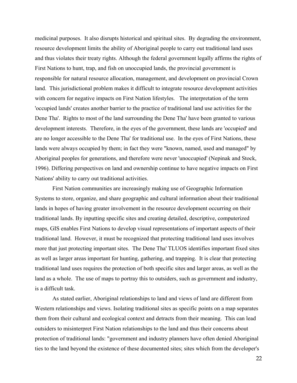medicinal purposes. It also disrupts historical and spiritual sites. By degrading the environment, resource development limits the ability of Aboriginal people to carry out traditional land uses and thus violates their treaty rights. Although the federal government legally affirms the rights of First Nations to hunt, trap, and fish on unoccupied lands, the provincial government is responsible for natural resource allocation, management, and development on provincial Crown land. This jurisdictional problem makes it difficult to integrate resource development activities with concern for negative impacts on First Nation lifestyles. The interpretation of the term 'occupied lands' creates another barrier to the practice of traditional land use activities for the Dene Tha'. Rights to most of the land surrounding the Dene Tha' have been granted to various development interests. Therefore, in the eyes of the government, these lands are 'occupied' and are no longer accessible to the Dene Tha' for traditional use. In the eyes of First Nations, these lands were always occupied by them; in fact they were "known, named, used and managed" by Aboriginal peoples for generations, and therefore were never 'unoccupied' (Nepinak and Stock, 1996). Differing perspectives on land and ownership continue to have negative impacts on First Nations' ability to carry out traditional activities.

First Nation communities are increasingly making use of Geographic Information Systems to store, organize, and share geographic and cultural information about their traditional lands in hopes of having greater involvement in the resource development occurring on their traditional lands. By inputting specific sites and creating detailed, descriptive, computerized maps, GIS enables First Nations to develop visual representations of important aspects of their traditional land. However, it must be recognized that protecting traditional land uses involves more that just protecting important sites. The Dene Tha' TLUOS identifies important fixed sites as well as larger areas important for hunting, gathering, and trapping. It is clear that protecting traditional land uses requires the protection of both specific sites and larger areas, as well as the land as a whole. The use of maps to portray this to outsiders, such as government and industry, is a difficult task.

As stated earlier, Aboriginal relationships to land and views of land are different from Western relationships and views. Isolating traditional sites as specific points on a map separates them from their cultural and ecological context and detracts from their meaning. This can lead outsiders to misinterpret First Nation relationships to the land and thus their concerns about protection of traditional lands: "government and industry planners have often denied Aboriginal ties to the land beyond the existence of these documented sites; sites which from the developer's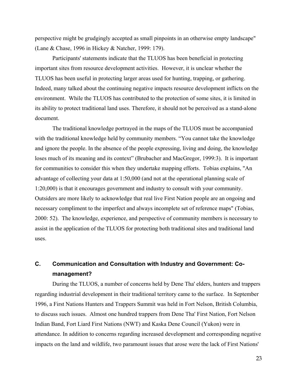<span id="page-31-0"></span>perspective might be grudgingly accepted as small pinpoints in an otherwise empty landscape" (Lane & Chase, 1996 in Hickey & Natcher, 1999: 179).

Participants' statements indicate that the TLUOS has been beneficial in protecting important sites from resource development activities. However, it is unclear whether the TLUOS has been useful in protecting larger areas used for hunting, trapping, or gathering. Indeed, many talked about the continuing negative impacts resource development inflicts on the environment. While the TLUOS has contributed to the protection of some sites, it is limited in its ability to protect traditional land uses. Therefore, it should not be perceived as a stand-alone document.

The traditional knowledge portrayed in the maps of the TLUOS must be accompanied with the traditional knowledge held by community members. "You cannot take the knowledge and ignore the people. In the absence of the people expressing, living and doing, the knowledge loses much of its meaning and its context" (Brubacher and MacGregor, 1999:3). It is important for communities to consider this when they undertake mapping efforts. Tobias explains, "An advantage of collecting your data at 1:50,000 (and not at the operational planning scale of 1:20,000) is that it encourages government and industry to consult with your community. Outsiders are more likely to acknowledge that real live First Nation people are an ongoing and necessary compliment to the imperfect and always incomplete set of reference maps" (Tobias, 2000: 52). The knowledge, experience, and perspective of community members is necessary to assist in the application of the TLUOS for protecting both traditional sites and traditional land uses.

## **C. Communication and Consultation with Industry and Government: Comanagement?**

During the TLUOS, a number of concerns held by Dene Tha' elders, hunters and trappers regarding industrial development in their traditional territory came to the surface. In September 1996, a First Nations Hunters and Trappers Summit was held in Fort Nelson, British Columbia, to discuss such issues. Almost one hundred trappers from Dene Tha' First Nation, Fort Nelson Indian Band, Fort Liard First Nations (NWT) and Kaska Dene Council (Yukon) were in attendance. In addition to concerns regarding increased development and corresponding negative impacts on the land and wildlife, two paramount issues that arose were the lack of First Nations'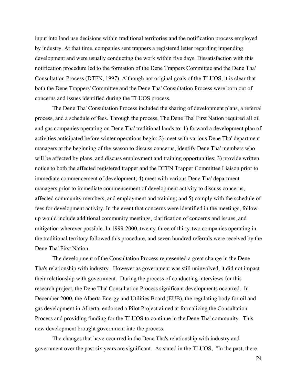input into land use decisions within traditional territories and the notification process employed by industry. At that time, companies sent trappers a registered letter regarding impending development and were usually conducting the work within five days. Dissatisfaction with this notification procedure led to the formation of the Dene Trappers Committee and the Dene Tha' Consultation Process (DTFN, 1997). Although not original goals of the TLUOS, it is clear that both the Dene Trappers' Committee and the Dene Tha' Consultation Process were born out of concerns and issues identified during the TLUOS process.

The Dene Tha' Consultation Process included the sharing of development plans, a referral process, and a schedule of fees. Through the process, The Dene Tha' First Nation required all oil and gas companies operating on Dene Tha' traditional lands to: 1) forward a development plan of activities anticipated before winter operations begin; 2) meet with various Dene Tha' department managers at the beginning of the season to discuss concerns, identify Dene Tha' members who will be affected by plans, and discuss employment and training opportunities; 3) provide written notice to both the affected registered trapper and the DTFN Trapper Committee Liaison prior to immediate commencement of development; 4) meet with various Dene Tha' department managers prior to immediate commencement of development activity to discuss concerns, affected community members, and employment and training; and 5) comply with the schedule of fees for development activity. In the event that concerns were identified in the meetings, followup would include additional community meetings, clarification of concerns and issues, and mitigation wherever possible. In 1999-2000, twenty-three of thirty-two companies operating in the traditional territory followed this procedure, and seven hundred referrals were received by the Dene Tha' First Nation.

The development of the Consultation Process represented a great change in the Dene Tha's relationship with industry. However as government was still uninvolved, it did not impact their relationship with government. During the process of conducting interviews for this research project, the Dene Tha' Consultation Process significant developments occurred. In December 2000, the Alberta Energy and Utilities Board (EUB), the regulating body for oil and gas development in Alberta, endorsed a Pilot Project aimed at formalizing the Consultation Process and providing funding for the TLUOS to continue in the Dene Tha' community. This new development brought government into the process.

The changes that have occurred in the Dene Tha's relationship with industry and government over the past six years are significant. As stated in the TLUOS, "In the past, there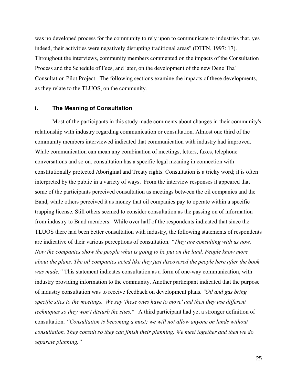<span id="page-33-0"></span>was no developed process for the community to rely upon to communicate to industries that, yes indeed, their activities were negatively disrupting traditional areas" (DTFN, 1997: 17). Throughout the interviews, community members commented on the impacts of the Consultation Process and the Schedule of Fees, and later, on the development of the new Dene Tha' Consultation Pilot Project. The following sections examine the impacts of these developments, as they relate to the TLUOS, on the community.

#### **i. The Meaning of Consultation**

Most of the participants in this study made comments about changes in their community's relationship with industry regarding communication or consultation. Almost one third of the community members interviewed indicated that communication with industry had improved. While communication can mean any combination of meetings, letters, faxes, telephone conversations and so on, consultation has a specific legal meaning in connection with constitutionally protected Aboriginal and Treaty rights. Consultation is a tricky word; it is often interpreted by the public in a variety of ways. From the interview responses it appeared that some of the participants perceived consultation as meetings between the oil companies and the Band, while others perceived it as money that oil companies pay to operate within a specific trapping license. Still others seemed to consider consultation as the passing on of information from industry to Band members. While over half of the respondents indicated that since the TLUOS there had been better consultation with industry, the following statements of respondents are indicative of their various perceptions of consultation. *"They are consulting with us now. Now the companies show the people what is going to be put on the land. People know more about the plans. The oil companies acted like they just discovered the people here after the book was made."* This statement indicates consultation as a form of one-way communication, with industry providing information to the community. Another participant indicated that the purpose of industry consultation was to receive feedback on development plans. *"Oil and gas bring specific sites to the meetings. We say 'these ones have to move' and then they use different techniques so they won't disturb the sites."* A third participant had yet a stronger definition of consultation. *"Consultation is becoming a must; we will not allow anyone on lands without consultation. They consult so they can finish their planning. We meet together and then we do separate planning."*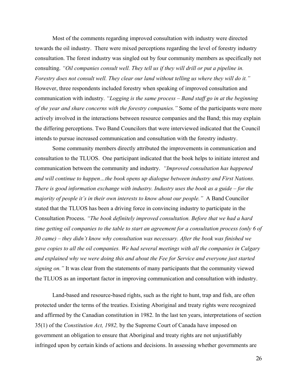Most of the comments regarding improved consultation with industry were directed towards the oil industry. There were mixed perceptions regarding the level of forestry industry consultation. The forest industry was singled out by four community members as specifically not consulting. *"Oil companies consult well. They tell us if they will drill or put a pipeline in. Forestry does not consult well. They clear our land without telling us where they will do it."*  However, three respondents included forestry when speaking of improved consultation and communication with industry. *"Logging is the same process – Band staff go in at the beginning of the year and share concerns with the forestry companies."* Some of the participants were more actively involved in the interactions between resource companies and the Band; this may explain the differing perceptions. Two Band Councilors that were interviewed indicated that the Council intends to pursue increased communication and consultation with the forestry industry.

Some community members directly attributed the improvements in communication and consultation to the TLUOS. One participant indicated that the book helps to initiate interest and communication between the community and industry. *"Improved consultation has happened and will continue to happen…the book opens up dialogue between industry and First Nations. There is good information exchange with industry. Industry uses the book as a guide – for the majority of people it's in their own interests to know about our people."* A Band Councilor stated that the TLUOS has been a driving force in convincing industry to participate in the Consultation Process. *"The book definitely improved consultation. Before that we had a hard time getting oil companies to the table to start an agreement for a consultation process (only 6 of 30 came) – they didn't know why consultation was necessary. After the book was finished we gave copies to all the oil companies. We had several meetings with all the companies in Calgary and explained why we were doing this and about the Fee for Service and everyone just started signing on.*" It was clear from the statements of many participants that the community viewed the TLUOS as an important factor in improving communication and consultation with industry.

Land-based and resource-based rights, such as the right to hunt, trap and fish, are often protected under the terms of the treaties. Existing Aboriginal and treaty rights were recognized and affirmed by the Canadian constitution in 1982. In the last ten years, interpretations of section 35(1) of the *Constitution Act, 1982,* by the Supreme Court of Canada have imposed on government an obligation to ensure that Aboriginal and treaty rights are not unjustifiably infringed upon by certain kinds of actions and decisions. In assessing whether governments are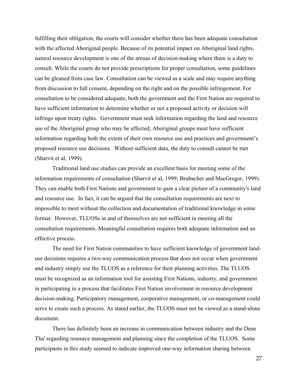fulfilling their obligation, the courts will consider whether there has been adequate consultation with the affected Aboriginal people. Because of its potential impact on Aboriginal land rights, natural resource development is one of the arenas of decision-making where there is a duty to consult. While the courts do not provide prescriptions for proper consultation, some guidelines can be gleaned from case law. Consultation can be viewed as a scale and may require anything from discussion to full consent, depending on the right and on the possible infringement. For consultation to be considered adequate, both the government and the First Nation are required to have sufficient information to determine whether or not a proposed activity or decision will infringe upon treaty rights. Government must seek information regarding the land and resource use of the Aboriginal group who may be affected; Aboriginal groups must have sufficient information regarding both the extent of their own resource use and practices and government's proposed resource use decisions. Without sufficient data, the duty to consult cannot be met (Sharvit et al, 1999).

Traditional land use studies can provide an excellent basis for meeting some of the information requirements of consultation (Sharvit et al, 1999; Brubacher and MacGregor, 1999). They can enable both First Nations and government to gain a clear picture of a community's land and resource use. In fact, it can be argued that the consultation requirements are next to impossible to meet without the collection and documentation of traditional knowledge in some format. However, TLUOSs in and of themselves are not sufficient in meeting all the consultation requirements. Meaningful consultation requires both adequate information and an effective process.

The need for First Nation communities to have sufficient knowledge of government landuse decisions requires a two-way communication process that does not occur when government and industry simply use the TLUOS as a reference for their planning activities. The TLUOS must be recognized as an information tool for assisting First Nations, industry, and government in participating in a process that facilitates First Nation involvement in resource development decision-making. Participatory management, cooperative management, or co-management could serve to create such a process. As stated earlier, the TLUOS must not be viewed as a stand-alone document.

There has definitely been an increase in communication between industry and the Dene Tha' regarding resource management and planning since the completion of the TLUOS. Some participants in this study seemed to indicate improved one-way information sharing between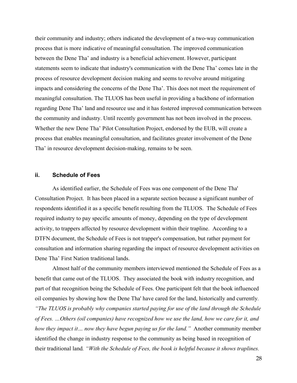<span id="page-36-0"></span>their community and industry; others indicated the development of a two-way communication process that is more indicative of meaningful consultation. The improved communication between the Dene Tha' and industry is a beneficial achievement. However, participant statements seem to indicate that industry's communication with the Dene Tha' comes late in the process of resource development decision making and seems to revolve around mitigating impacts and considering the concerns of the Dene Tha'. This does not meet the requirement of meaningful consultation. The TLUOS has been useful in providing a backbone of information regarding Dene Tha' land and resource use and it has fostered improved communication between the community and industry. Until recently government has not been involved in the process. Whether the new Dene Tha' Pilot Consultation Project, endorsed by the EUB, will create a process that enables meaningful consultation, and facilitates greater involvement of the Dene Tha' in resource development decision-making, remains to be seen.

#### **ii. Schedule of Fees**

As identified earlier, the Schedule of Fees was one component of the Dene Tha' Consultation Project. It has been placed in a separate section because a significant number of respondents identified it as a specific benefit resulting from the TLUOS. The Schedule of Fees required industry to pay specific amounts of money, depending on the type of development activity, to trappers affected by resource development within their trapline. According to a DTFN document, the Schedule of Fees is not trapper's compensation, but rather payment for consultation and information sharing regarding the impact of resource development activities on Dene Tha' First Nation traditional lands.

Almost half of the community members interviewed mentioned the Schedule of Fees as a benefit that came out of the TLUOS. They associated the book with industry recognition, and part of that recognition being the Schedule of Fees. One participant felt that the book influenced oil companies by showing how the Dene Tha' have cared for the land, historically and currently*. "The TLUOS is probably why companies started paying for use of the land through the Schedule of Fees. …Others (oil companies) have recognized how we use the land, how we care for it, and how they impact it… now they have begun paying us for the land."* Another community member identified the change in industry response to the community as being based in recognition of their traditional land*. "With the Schedule of Fees, the book is helpful because it shows traplines.*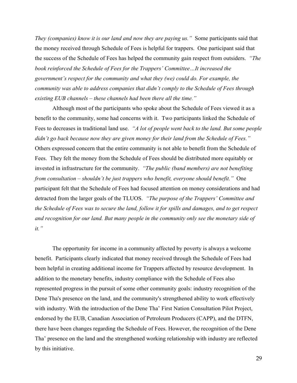*They (companies) know it is our land and now they are paying us."* Some participants said that the money received through Schedule of Fees is helpful for trappers. One participant said that the success of the Schedule of Fees has helped the community gain respect from outsiders. *"The book reinforced the Schedule of Fees for the Trappers' Committee…It increased the government's respect for the community and what they (we) could do. For example, the community was able to address companies that didn't comply to the Schedule of Fees through existing EUB channels – these channels had been there all the time."* 

Although most of the participants who spoke about the Schedule of Fees viewed it as a benefit to the community, some had concerns with it. Two participants linked the Schedule of Fees to decreases in traditional land use. *"A lot of people went back to the land. But some people didn't go back because now they are given money for their land from the Schedule of Fees."*  Others expressed concern that the entire community is not able to benefit from the Schedule of Fees. They felt the money from the Schedule of Fees should be distributed more equitably or invested in infrastructure for the community. *"The public (band members) are not benefiting from consultation – shouldn't be just trappers who benefit, everyone should benefit."* One participant felt that the Schedule of Fees had focused attention on money considerations and had detracted from the larger goals of the TLUOS. *"The purpose of the Trappers' Committee and the Schedule of Fees was to secure the land, follow it for spills and damages, and to get respect and recognition for our land. But many people in the community only see the monetary side of it."*

The opportunity for income in a community affected by poverty is always a welcome benefit. Participants clearly indicated that money received through the Schedule of Fees had been helpful in creating additional income for Trappers affected by resource development. In addition to the monetary benefits, industry compliance with the Schedule of Fees also represented progress in the pursuit of some other community goals: industry recognition of the Dene Tha's presence on the land, and the community's strengthened ability to work effectively with industry. With the introduction of the Dene Tha' First Nation Consultation Pilot Project, endorsed by the EUB, Canadian Association of Petroleum Producers (CAPP), and the DTFN, there have been changes regarding the Schedule of Fees. However, the recognition of the Dene Tha' presence on the land and the strengthened working relationship with industry are reflected by this initiative.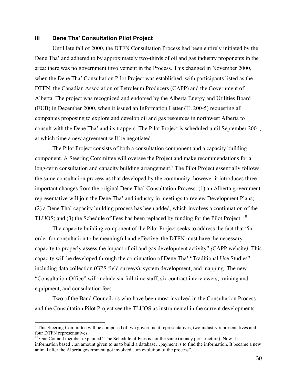#### <span id="page-38-0"></span>**iii Dene Tha' Consultation Pilot Project**

Until late fall of 2000, the DTFN Consultation Process had been entirely initiated by the Dene Tha' and adhered to by approximately two-thirds of oil and gas industry proponents in the area: there was no government involvement in the Process. This changed in November 2000, when the Dene Tha' Consultation Pilot Project was established, with participants listed as the DTFN, the Canadian Association of Petroleum Producers (CAPP) and the Government of Alberta. The project was recognized and endorsed by the Alberta Energy and Utilities Board (EUB) in December 2000, when it issued an Information Letter (IL 200-5) requesting all companies proposing to explore and develop oil and gas resources in northwest Alberta to consult with the Dene Tha' and its trappers. The Pilot Project is scheduled until September 2001, at which time a new agreement will be negotiated.

The Pilot Project consists of both a consultation component and a capacity building component. A Steering Committee will oversee the Project and make recommendations for a long-term consultation and capacity building arrangement.<sup>[9](#page-38-1)</sup> The Pilot Project essentially follows the same consultation process as that developed by the community; however it introduces three important changes from the original Dene Tha' Consultation Process: (1) an Alberta government representative will join the Dene Tha' and industry in meetings to review Development Plans; (2) a Dene Tha' capacity building process has been added, which involves a continuation of the TLUOS; and (3) the Schedule of Fees has been replaced by funding for the Pilot Project.<sup>10</sup>

The capacity building component of the Pilot Project seeks to address the fact that "in order for consultation to be meaningful and effective, the DTFN must have the necessary capacity to properly assess the impact of oil and gas development activity" *(*CAPP website*).* This capacity will be developed through the continuation of Dene Tha' "Traditional Use Studies", including data collection (GPS field surveys), system development, and mapping. The new "Consultation Office" will include six full-time staff, six contract interviewers, training and equipment, and consultation fees.

Two of the Band Councilor's who have been most involved in the Consultation Process and the Consultation Pilot Project see the TLUOS as instrumental in the current developments.

 $\overline{a}$ 

<span id="page-38-1"></span><sup>&</sup>lt;sup>9</sup> This Steering Committee will be composed of two government representatives, two industry representatives and four DTFN representatives.

<span id="page-38-2"></span><sup>&</sup>lt;sup>10</sup> One Council member explained "The Schedule of Fees is not the same (money per structure). Now it is information based…an amount given to us to build a database…payment is to find the information. It became a new animal after the Alberta government got involved…an evolution of the process".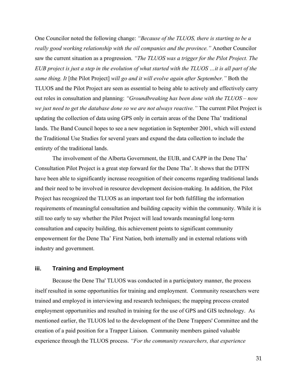<span id="page-39-0"></span>One Councilor noted the following change: *"Because of the TLUOS, there is starting to be a really good working relationship with the oil companies and the province."* Another Councilor saw the current situation as a progression. *"The TLUOS was a trigger for the Pilot Project. The EUB project is just a step in the evolution of what started with the TLUOS …it is all part of the same thing. It* [the Pilot Project] *will go and it will evolve again after September."* Both the TLUOS and the Pilot Project are seen as essential to being able to actively and effectively carry out roles in consultation and planning: *"Groundbreaking has been done with the TLUOS – now we just need to get the database done so we are not always reactive."* The current Pilot Project is updating the collection of data using GPS only in certain areas of the Dene Tha' traditional lands. The Band Council hopes to see a new negotiation in September 2001, which will extend the Traditional Use Studies for several years and expand the data collection to include the entirety of the traditional lands.

The involvement of the Alberta Government, the EUB, and CAPP in the Dene Tha' Consultation Pilot Project is a great step forward for the Dene Tha'. It shows that the DTFN have been able to significantly increase recognition of their concerns regarding traditional lands and their need to be involved in resource development decision-making. In addition, the Pilot Project has recognized the TLUOS as an important tool for both fulfilling the information requirements of meaningful consultation and building capacity within the community. While it is still too early to say whether the Pilot Project will lead towards meaningful long-term consultation and capacity building, this achievement points to significant community empowerment for the Dene Tha' First Nation, both internally and in external relations with industry and government.

#### **iii. Training and Employment**

Because the Dene Tha' TLUOS was conducted in a participatory manner, the process itself resulted in some opportunities for training and employment. Community researchers were trained and employed in interviewing and research techniques; the mapping process created employment opportunities and resulted in training for the use of GPS and GIS technology. As mentioned earlier, the TLUOS led to the development of the Dene Trappers' Committee and the creation of a paid position for a Trapper Liaison. Community members gained valuable experience through the TLUOS process. *"For the community researchers, that experience*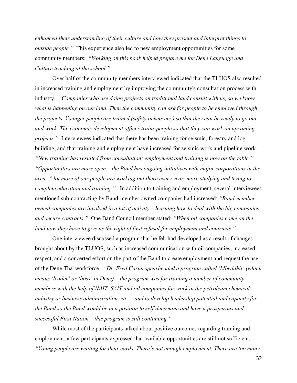*enhanced their understanding of their culture and how they present and interpret things to outside people."* This experience also led to new employment opportunities for some community members: *"Working on this book helped prepare me for Dene Language and Culture teaching at the school."*

Over half of the community members interviewed indicated that the TLUOS also resulted in increased training and employment by improving the community's consultation process with industry. *"Companies who are doing projects on traditional land consult with us, so we know what is happening on our land. Then the community can ask for people to be employed through the projects. Younger people are trained (safety tickets etc.) so that they can be ready to go out and work. The economic development officer trains people so that they can work on upcoming projects.*" Interviewees indicated that there has been training for seismic, forestry and log building, and that training and employment have increased for seismic work and pipeline work. *"New training has resulted from consultation; employment and training is now on the table."*

*"Opportunities are more open – the Band has ongoing initiatives with major corporations in the area. A lot more of our people are working out there every year, more studying and trying to complete education and training."* In addition to training and employment, several interviewees mentioned sub-contracting by Band-member owned companies had increased: *"Band-member owned companies are involved in a lot of activity – learning how to deal with the big companies and secure contracts."* One Band Council member stated: *"When oil companies come on the land now they have to give us the right of first refusal for employment and contracts."* 

One interviewee discussed a program that he felt had developed as a result of changes brought about by the TLUOS, such as increased communication with oil companies, increased respect, and a concerted effort on the part of the Band to create employment and request the use of the Dene Tha' workforce. *"Dr. Fred Carnu spearheaded a program called 'Mbeddhii' (which means 'leader' or 'boss' in Dene) – the program was for training a number of community members with the help of NAIT, SAIT and oil companies for work in the petroleum chemical industry or business administration, etc. – and to develop leadership potential and capacity for the Band so the Band would be in a position to self-determine and have a prosperous and successful First Nation – this program is still continuing."* 

While most of the participants talked about positive outcomes regarding training and employment, a few participants expressed that available opportunities are still not sufficient. *"Young people are waiting for their cards. There's not enough employment. There are too many*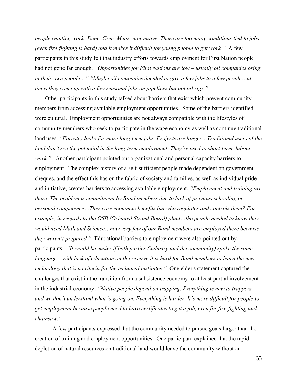*people wanting work: Dene, Cree, Metis, non-native. There are too many conditions tied to jobs (even fire-fighting is hard) and it makes it difficult for young people to get work."* A few participants in this study felt that industry efforts towards employment for First Nation people had not gone far enough. *"Opportunities for First Nations are low – usually oil companies bring in their own people…" "Maybe oil companies decided to give a few jobs to a few people…at times they come up with a few seasonal jobs on pipelines but not oil rigs."*

 Other participants in this study talked about barriers that exist which prevent community members from accessing available employment opportunities. Some of the barriers identified were cultural. Employment opportunities are not always compatible with the lifestyles of community members who seek to participate in the wage economy as well as continue traditional land uses. *"Forestry looks for more long-term jobs. Projects are longer…Traditional users of the land don't see the potential in the long-term employment. They're used to short-term, labour work.*" Another participant pointed out organizational and personal capacity barriers to employment. The complex history of a self-sufficient people made dependent on government cheques, and the effect this has on the fabric of society and families, as well as individual pride and initiative, creates barriers to accessing available employment. *"Employment and training are there. The problem is commitment by Band members due to lack of previous schooling or personal competence…There are economic benefits but who regulates and controls them? For example, in regards to the OSB (Oriented Strand Board) plant…the people needed to know they would need Math and Science…now very few of our Band members are employed there because they weren't prepared."* Educational barriers to employment were also pointed out by participants. *"It would be easier if both parties (industry and the community) spoke the same language – with lack of education on the reserve it is hard for Band members to learn the new technology that is a criteria for the technical institutes."* One elder's statement captured the challenges that exist in the transition from a subsistence economy to at least partial involvement in the industrial economy: *"Native people depend on trapping. Everything is new to trappers, and we don't understand what is going on. Everything is harder. It's more difficult for people to get employment because people need to have certificates to get a job, even for fire-fighting and chainsaw."* 

A few participants expressed that the community needed to pursue goals larger than the creation of training and employment opportunities. One participant explained that the rapid depletion of natural resources on traditional land would leave the community without an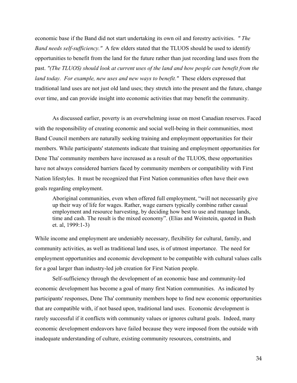economic base if the Band did not start undertaking its own oil and forestry activities. *" The Band needs self-sufficiency."* A few elders stated that the TLUOS should be used to identify opportunities to benefit from the land for the future rather than just recording land uses from the past. *"(The TLUOS) should look at current uses of the land and how people can benefit from the land today. For example, new uses and new ways to benefit."* These elders expressed that traditional land uses are not just old land uses; they stretch into the present and the future, change over time, and can provide insight into economic activities that may benefit the community.

As discussed earlier, poverty is an overwhelming issue on most Canadian reserves. Faced with the responsibility of creating economic and social well-being in their communities, most Band Council members are naturally seeking training and employment opportunities for their members. While participants' statements indicate that training and employment opportunities for Dene Tha' community members have increased as a result of the TLUOS, these opportunities have not always considered barriers faced by community members or compatibility with First Nation lifestyles. It must be recognized that First Nation communities often have their own goals regarding employment.

Aboriginal communities, even when offered full employment, "will not necessarily give up their way of life for wages. Rather, wage earners typically combine rather casual employment and resource harvesting, by deciding how best to use and manage lands, time and cash. The result is the mixed economy". (Elias and Weinstein, quoted in Bush et. al, 1999:1-3)

While income and employment are undeniably necessary, flexibility for cultural, family, and community activities, as well as traditional land uses, is of utmost importance. The need for employment opportunities and economic development to be compatible with cultural values calls for a goal larger than industry-led job creation for First Nation people.

Self-sufficiency through the development of an economic base and community-led economic development has become a goal of many first Nation communities. As indicated by participants' responses, Dene Tha' community members hope to find new economic opportunities that are compatible with, if not based upon, traditional land uses. Economic development is rarely successful if it conflicts with community values or ignores cultural goals. Indeed, many economic development endeavors have failed because they were imposed from the outside with inadequate understanding of culture, existing community resources, constraints, and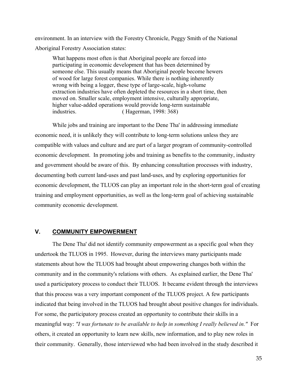<span id="page-43-0"></span>environment. In an interview with the Forestry Chronicle, Peggy Smith of the National Aboriginal Forestry Association states:

What happens most often is that Aboriginal people are forced into participating in economic development that has been determined by someone else. This usually means that Aboriginal people become hewers of wood for large forest companies. While there is nothing inherently wrong with being a logger, these type of large-scale, high-volume extraction industries have often depleted the resources in a short time, then moved on. Smaller scale, employment intensive, culturally appropriate, higher value-added operations would provide long-term sustainable industries. ( Hagerman, 1998: 368)

While jobs and training are important to the Dene Tha' in addressing immediate economic need, it is unlikely they will contribute to long-term solutions unless they are compatible with values and culture and are part of a larger program of community-controlled economic development. In promoting jobs and training as benefits to the community, industry and government should be aware of this. By enhancing consultation processes with industry, documenting both current land-uses and past land-uses, and by exploring opportunities for economic development, the TLUOS can play an important role in the short-term goal of creating training and employment opportunities, as well as the long-term goal of achieving sustainable community economic development.

## **V. COMMUNITY EMPOWERMENT**

The Dene Tha' did not identify community empowerment as a specific goal when they undertook the TLUOS in 1995. However, during the interviews many participants made statements about how the TLUOS had brought about empowering changes both within the community and in the community's relations with others. As explained earlier, the Dene Tha' used a participatory process to conduct their TLUOS. It became evident through the interviews that this process was a very important component of the TLUOS project. A few participants indicated that being involved in the TLUOS had brought about positive changes for individuals. For some, the participatory process created an opportunity to contribute their skills in a meaningful way: *"I was fortunate to be available to help in something I really believed in."* For others, it created an opportunity to learn new skills, new information, and to play new roles in their community. Generally, those interviewed who had been involved in the study described it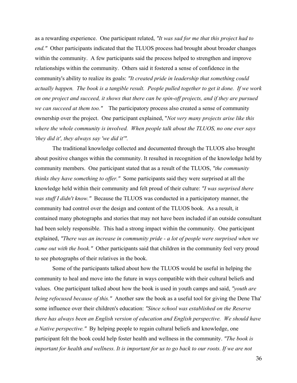as a rewarding experience. One participant related, *"It was sad for me that this project had to end."* Other participants indicated that the TLUOS process had brought about broader changes within the community. A few participants said the process helped to strengthen and improve relationships within the community. Others said it fostered a sense of confidence in the community's ability to realize its goals: *"It created pride in leadership that something could actually happen. The book is a tangible result. People pulled together to get it done. If we work on one project and succeed, it shows that there can be spin-off projects, and if they are pursued we can succeed at them too."* The participatory process also created a sense of community ownership over the project. One participant explained, "*Not very many projects arise like this where the whole community is involved. When people talk about the TLUOS, no one ever says 'they did it', they always say 'we did it'".*

The traditional knowledge collected and documented through the TLUOS also brought about positive changes within the community. It resulted in recognition of the knowledge held by community members. One participant stated that as a result of the TLUOS, *"the community thinks they have something to offer."* Some participants said they were surprised at all the knowledge held within their community and felt proud of their culture: *"I was surprised there was stuff I didn't know."* Because the TLUOS was conducted in a participatory manner, the community had control over the design and content of the TLUOS book. As a result, it contained many photographs and stories that may not have been included if an outside consultant had been solely responsible. This had a strong impact within the community. One participant explained, *"There was an increase in community pride - a lot of people were surprised when we came out with the book."* Other participants said that children in the community feel very proud to see photographs of their relatives in the book.

Some of the participants talked about how the TLUOS would be useful in helping the community to heal and move into the future in ways compatible with their cultural beliefs and values. One participant talked about how the book is used in youth camps and said, *"youth are being refocused because of this."* Another saw the book as a useful tool for giving the Dene Tha' some influence over their children's education: *"Since school was established on the Reserve there has always been an English version of education and English perspective. We should have a Native perspective."* By helping people to regain cultural beliefs and knowledge, one participant felt the book could help foster health and wellness in the community. *"The book is important for health and wellness. It is important for us to go back to our roots. If we are not*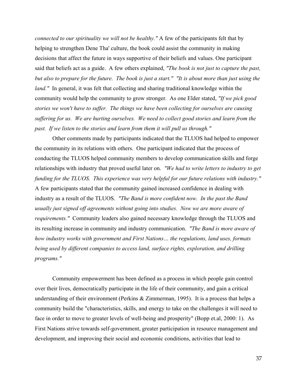*connected to our spirituality we will not be healthy."* A few of the participants felt that by helping to strengthen Dene Tha' culture, the book could assist the community in making decisions that affect the future in ways supportive of their beliefs and values. One participant said that beliefs act as a guide. A few others explained, *"The book is not just to capture the past, but also to prepare for the future. The book is just a start." "It is about more than just using the land.*" In general, it was felt that collecting and sharing traditional knowledge within the community would help the community to grow stronger. As one Elder stated, *"If we pick good stories we won't have to suffer. The things we have been collecting for ourselves are causing suffering for us. We are hurting ourselves. We need to collect good stories and learn from the past. If we listen to the stories and learn from them it will pull us through."* 

Other comments made by participants indicated that the TLUOS had helped to empower the community in its relations with others. One participant indicated that the process of conducting the TLUOS helped community members to develop communication skills and forge relationships with industry that proved useful later on. *"We had to write letters to industry to get funding for the TLUOS. This experience was very helpful for our future relations with industry."* A few participants stated that the community gained increased confidence in dealing with industry as a result of the TLUOS. *"The Band is more confident now. In the past the Band usually just signed off agreements without going into studies. Now we are more aware of requirements."* Community leaders also gained necessary knowledge through the TLUOS and its resulting increase in community and industry communication. *"The Band is more aware of how industry works with government and First Nations… the regulations, land uses, formats being used by different companies to access land, surface rights, exploration, and drilling programs."* 

Community empowerment has been defined as a process in which people gain control over their lives, democratically participate in the life of their community, and gain a critical understanding of their environment (Perkins & Zimmerman, 1995). It is a process that helps a community build the "characteristics, skills, and energy to take on the challenges it will need to face in order to move to greater levels of well-being and prosperity" (Bopp et.al, 2000: 1). As First Nations strive towards self-government, greater participation in resource management and development, and improving their social and economic conditions, activities that lead to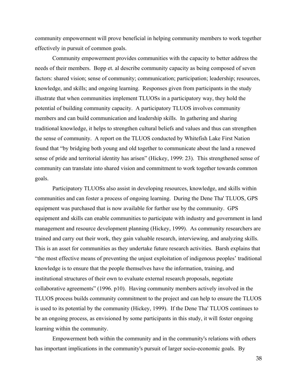community empowerment will prove beneficial in helping community members to work together effectively in pursuit of common goals.

Community empowerment provides communities with the capacity to better address the needs of their members. Bopp et. al describe community capacity as being composed of seven factors: shared vision; sense of community; communication; participation; leadership; resources, knowledge, and skills; and ongoing learning. Responses given from participants in the study illustrate that when communities implement TLUOSs in a participatory way, they hold the potential of building community capacity. A participatory TLUOS involves community members and can build communication and leadership skills. In gathering and sharing traditional knowledge, it helps to strengthen cultural beliefs and values and thus can strengthen the sense of community. A report on the TLUOS conducted by Whitefish Lake First Nation found that "by bridging both young and old together to communicate about the land a renewed sense of pride and territorial identity has arisen" (Hickey, 1999: 23). This strengthened sense of community can translate into shared vision and commitment to work together towards common goals.

Participatory TLUOSs also assist in developing resources, knowledge, and skills within communities and can foster a process of ongoing learning. During the Dene Tha' TLUOS, GPS equipment was purchased that is now available for further use by the community. GPS equipment and skills can enable communities to participate with industry and government in land management and resource development planning (Hickey, 1999). As community researchers are trained and carry out their work, they gain valuable research, interviewing, and analyzing skills. This is an asset for communities as they undertake future research activities. Barsh explains that "the most effective means of preventing the unjust exploitation of indigenous peoples' traditional knowledge is to ensure that the people themselves have the information, training, and institutional structures of their own to evaluate external research proposals, negotiate collaborative agreements" (1996. p10). Having community members actively involved in the TLUOS process builds community commitment to the project and can help to ensure the TLUOS is used to its potential by the community (Hickey, 1999). If the Dene Tha' TLUOS continues to be an ongoing process, as envisioned by some participants in this study, it will foster ongoing learning within the community.

Empowerment both within the community and in the community's relations with others has important implications in the community's pursuit of larger socio-economic goals. By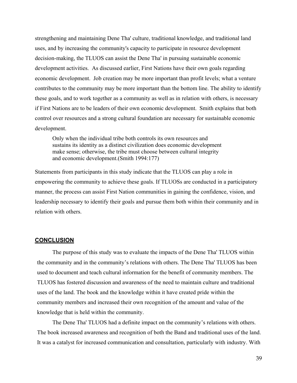<span id="page-47-0"></span>strengthening and maintaining Dene Tha' culture, traditional knowledge, and traditional land uses, and by increasing the community's capacity to participate in resource development decision-making, the TLUOS can assist the Dene Tha' in pursuing sustainable economic development activities. As discussed earlier, First Nations have their own goals regarding economic development. Job creation may be more important than profit levels; what a venture contributes to the community may be more important than the bottom line. The ability to identify these goals, and to work together as a community as well as in relation with others, is necessary if First Nations are to be leaders of their own economic development. Smith explains that both control over resources and a strong cultural foundation are necessary for sustainable economic development.

Only when the individual tribe both controls its own resources and sustains its identity as a distinct civilization does economic development make sense; otherwise, the tribe must choose between cultural integrity and economic development.(Smith 1994:177)

Statements from participants in this study indicate that the TLUOS can play a role in empowering the community to achieve these goals. If TLUOSs are conducted in a participatory manner, the process can assist First Nation communities in gaining the confidence, vision, and leadership necessary to identify their goals and pursue them both within their community and in relation with others.

#### **CONCLUSION**

The purpose of this study was to evaluate the impacts of the Dene Tha' TLUOS within the community and in the community's relations with others. The Dene Tha' TLUOS has been used to document and teach cultural information for the benefit of community members. The TLUOS has fostered discussion and awareness of the need to maintain culture and traditional uses of the land. The book and the knowledge within it have created pride within the community members and increased their own recognition of the amount and value of the knowledge that is held within the community.

The Dene Tha' TLUOS had a definite impact on the community's relations with others. The book increased awareness and recognition of both the Band and traditional uses of the land. It was a catalyst for increased communication and consultation, particularly with industry. With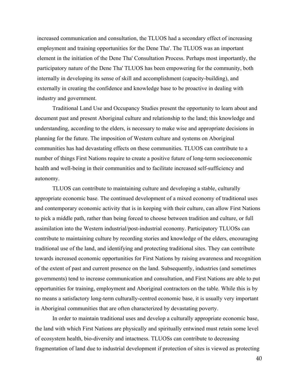increased communication and consultation, the TLUOS had a secondary effect of increasing employment and training opportunities for the Dene Tha'. The TLUOS was an important element in the initiation of the Dene Tha' Consultation Process. Perhaps most importantly, the participatory nature of the Dene Tha' TLUOS has been empowering for the community, both internally in developing its sense of skill and accomplishment (capacity-building), and externally in creating the confidence and knowledge base to be proactive in dealing with industry and government.

Traditional Land Use and Occupancy Studies present the opportunity to learn about and document past and present Aboriginal culture and relationship to the land; this knowledge and understanding, according to the elders, is necessary to make wise and appropriate decisions in planning for the future. The imposition of Western culture and systems on Aboriginal communities has had devastating effects on these communities. TLUOS can contribute to a number of things First Nations require to create a positive future of long-term socioeconomic health and well-being in their communities and to facilitate increased self-sufficiency and autonomy.

TLUOS can contribute to maintaining culture and developing a stable, culturally appropriate economic base. The continued development of a mixed economy of traditional uses and contemporary economic activity that is in keeping with their culture, can allow First Nations to pick a middle path, rather than being forced to choose between tradition and culture, or full assimilation into the Western industrial/post-industrial economy. Participatory TLUOSs can contribute to maintaining culture by recording stories and knowledge of the elders, encouraging traditional use of the land, and identifying and protecting traditional sites. They can contribute towards increased economic opportunities for First Nations by raising awareness and recognition of the extent of past and current presence on the land. Subsequently, industries (and sometimes governments) tend to increase communication and consultation, and First Nations are able to put opportunities for training, employment and Aboriginal contractors on the table. While this is by no means a satisfactory long-term culturally-centred economic base, it is usually very important in Aboriginal communities that are often characterized by devastating poverty.

In order to maintain traditional uses and develop a culturally appropriate economic base, the land with which First Nations are physically and spiritually entwined must retain some level of ecosystem health, bio-diversity and intactness. TLUOSs can contribute to decreasing fragmentation of land due to industrial development if protection of sites is viewed as protecting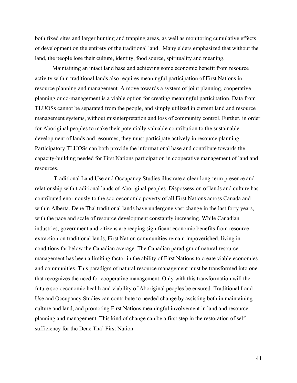both fixed sites and larger hunting and trapping areas, as well as monitoring cumulative effects of development on the entirety of the traditional land. Many elders emphasized that without the land, the people lose their culture, identity, food source, spirituality and meaning.

Maintaining an intact land base and achieving some economic benefit from resource activity within traditional lands also requires meaningful participation of First Nations in resource planning and management. A move towards a system of joint planning, cooperative planning or co-management is a viable option for creating meaningful participation. Data from TLUOSs cannot be separated from the people, and simply utilized in current land and resource management systems, without misinterpretation and loss of community control. Further, in order for Aboriginal peoples to make their potentially valuable contribution to the sustainable development of lands and resources, they must participate actively in resource planning. Participatory TLUOSs can both provide the informational base and contribute towards the capacity-building needed for First Nations participation in cooperative management of land and resources.

 Traditional Land Use and Occupancy Studies illustrate a clear long-term presence and relationship with traditional lands of Aboriginal peoples. Dispossession of lands and culture has contributed enormously to the socioeconomic poverty of all First Nations across Canada and within Alberta. Dene Tha' traditional lands have undergone vast change in the last forty years, with the pace and scale of resource development constantly increasing. While Canadian industries, government and citizens are reaping significant economic benefits from resource extraction on traditional lands, First Nation communities remain impoverished, living in conditions far below the Canadian average. The Canadian paradigm of natural resource management has been a limiting factor in the ability of First Nations to create viable economies and communities. This paradigm of natural resource management must be transformed into one that recognizes the need for cooperative management. Only with this transformation will the future socioeconomic health and viability of Aboriginal peoples be ensured. Traditional Land Use and Occupancy Studies can contribute to needed change by assisting both in maintaining culture and land, and promoting First Nations meaningful involvement in land and resource planning and management. This kind of change can be a first step in the restoration of selfsufficiency for the Dene Tha' First Nation.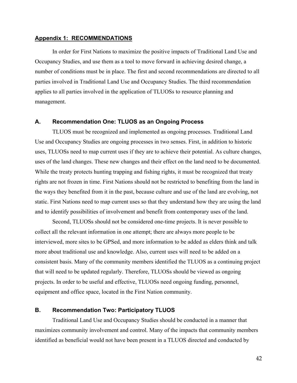#### <span id="page-50-0"></span>**Appendix 1: RECOMMENDATIONS**

In order for First Nations to maximize the positive impacts of Traditional Land Use and Occupancy Studies, and use them as a tool to move forward in achieving desired change, a number of conditions must be in place. The first and second recommendations are directed to all parties involved in Traditional Land Use and Occupancy Studies. The third recommendation applies to all parties involved in the application of TLUOSs to resource planning and management.

#### **A. Recommendation One: TLUOS as an Ongoing Process**

TLUOS must be recognized and implemented as ongoing processes. Traditional Land Use and Occupancy Studies are ongoing processes in two senses. First, in addition to historic uses, TLUOSs need to map current uses if they are to achieve their potential. As culture changes, uses of the land changes. These new changes and their effect on the land need to be documented. While the treaty protects hunting trapping and fishing rights, it must be recognized that treaty rights are not frozen in time. First Nations should not be restricted to benefiting from the land in the ways they benefited from it in the past, because culture and use of the land are evolving, not static. First Nations need to map current uses so that they understand how they are using the land and to identify possibilities of involvement and benefit from contemporary uses of the land.

Second, TLUOSs should not be considered one-time projects. It is never possible to collect all the relevant information in one attempt; there are always more people to be interviewed, more sites to be GPSed, and more information to be added as elders think and talk more about traditional use and knowledge. Also, current uses will need to be added on a consistent basis. Many of the community members identified the TLUOS as a continuing project that will need to be updated regularly. Therefore, TLUOSs should be viewed as ongoing projects. In order to be useful and effective, TLUOSs need ongoing funding, personnel, equipment and office space, located in the First Nation community.

#### **B. Recommendation Two: Participatory TLUOS**

Traditional Land Use and Occupancy Studies should be conducted in a manner that maximizes community involvement and control. Many of the impacts that community members identified as beneficial would not have been present in a TLUOS directed and conducted by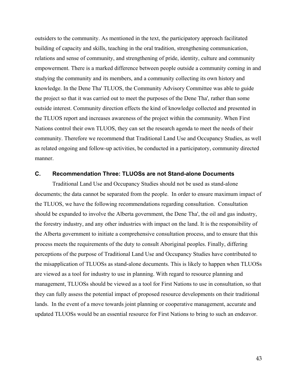<span id="page-51-0"></span>outsiders to the community. As mentioned in the text, the participatory approach facilitated building of capacity and skills, teaching in the oral tradition, strengthening communication, relations and sense of community, and strengthening of pride, identity, culture and community empowerment. There is a marked difference between people outside a community coming in and studying the community and its members, and a community collecting its own history and knowledge. In the Dene Tha' TLUOS, the Community Advisory Committee was able to guide the project so that it was carried out to meet the purposes of the Dene Tha', rather than some outside interest. Community direction effects the kind of knowledge collected and presented in the TLUOS report and increases awareness of the project within the community. When First Nations control their own TLUOS, they can set the research agenda to meet the needs of their community. Therefore we recommend that Traditional Land Use and Occupancy Studies, as well as related ongoing and follow-up activities, be conducted in a participatory, community directed manner.

## **C. Recommendation Three: TLUOSs are not Stand-alone Documents**

Traditional Land Use and Occupancy Studies should not be used as stand-alone documents; the data cannot be separated from the people. In order to ensure maximum impact of the TLUOS, we have the following recommendations regarding consultation. Consultation should be expanded to involve the Alberta government, the Dene Tha', the oil and gas industry, the forestry industry, and any other industries with impact on the land. It is the responsibility of the Alberta government to initiate a comprehensive consultation process, and to ensure that this process meets the requirements of the duty to consult Aboriginal peoples. Finally, differing perceptions of the purpose of Traditional Land Use and Occupancy Studies have contributed to the misapplication of TLUOSs as stand-alone documents. This is likely to happen when TLUOSs are viewed as a tool for industry to use in planning. With regard to resource planning and management, TLUOSs should be viewed as a tool for First Nations to use in consultation, so that they can fully assess the potential impact of proposed resource developments on their traditional lands. In the event of a move towards joint planning or cooperative management, accurate and updated TLUOSs would be an essential resource for First Nations to bring to such an endeavor.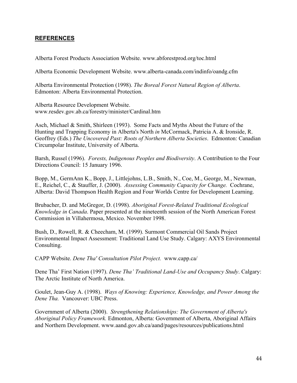## <span id="page-52-0"></span>**REFERENCES**

Alberta Forest Products Association Website. www.abforestprod.org/toc.html

Alberta Economic Development Website. www.alberta-canada.com/indinfo/oandg.cfm

Alberta Environmental Protection (1998). *The Boreal Forest Natural Region of Alberta*. Edmonton: Alberta Environmental Protection.

Alberta Resource Development Website. www.resdev.gov.ab.ca/forestry/minister/Cardinal.htm

Asch, Michael & Smith, Shirleen (1993). Some Facts and Myths About the Future of the Hunting and Trapping Economy in Alberta's North *in* McCormack, Patricia A. & Ironside, R. Geoffrey (Eds.) *The Uncovered Past: Roots of Northern Alberta Societies*. Edmonton: Canadian Circumpolar Institute, University of Alberta.

Barsh, Russel (1996). *Forests, Indigenous Peoples and Biodiversity*. A Contribution to the Four Directions Council: 15 January 1996.

Bopp, M., GermAnn K., Bopp, J., Littlejohns, L.B., Smith, N., Coe, M., George, M., Newman, E., Reichel, C., & Stauffer, J. (2000). *Assessing Community Capacity for Change.* Cochrane, Alberta: David Thompson Health Region and Four Worlds Centre for Development Learning.

Brubacher, D. and McGregor, D. (1998). *Aboriginal Forest-Related Traditional Ecological Knowledge in Canada*. Paper presented at the nineteenth session of the North American Forest Commission in Villahermosa, Mexico. November 1998.

Bush, D., Rowell, R. & Cheecham, M. (1999). Surmont Commercial Oil Sands Project Environmental Impact Assessment: Traditional Land Use Study. Calgary: AXYS Environmental Consulting.

CAPP Website. *Dene Tha' Consultation Pilot Project.* www.capp.ca/

Dene Tha' First Nation (1997). *Dene Tha' Traditional Land-Use and Occupancy Study*. Calgary: The Arctic Institute of North America.

Goulet, Jean-Guy A. (1998). *Ways of Knowing: Experience, Knowledge, and Power Among the Dene Tha.* Vancouver: UBC Press.

Government of Alberta (2000). *Strengthening Relationships: The Government of Alberta's Aboriginal Policy Framework.* Edmonton, Alberta: Government of Alberta, Aboriginal Affairs and Northern Development. www.aand.gov.ab.ca/aand/pages/resources/publications.html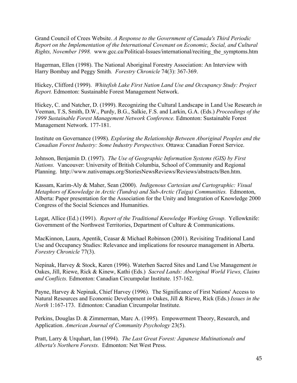Grand Council of Crees Website. *A Response to the Government of Canada's Third Periodic Report on the Implementation of the International Covenant on Economic, Social, and Cultural Rights, November 1998.* www.gcc.ca/Political-Issues/international/reciting\_the\_symptoms.htm

Hagerman, Ellen (1998). The National Aboriginal Forestry Association: An Interview with Harry Bombay and Peggy Smith*. Forestry Chronicle* 74(3): 367-369.

Hickey, Clifford (1999). *Whitefish Lake First Nation Land Use and Occupancy Study: Project Report.* Edmonton: Sustainable Forest Management Network.

Hickey, C. and Natcher, D. (1999). Recognizing the Cultural Landscape in Land Use Research *in*  Veeman, T.S, Smith, D.W., Purdy, B.G., Salkie, F.S. and Larkin, G.A. (Eds.) *Proceedings of the 1999 Sustainable Forest Management Network Conference.* Edmonton: Sustainable Forest Management Network. 177-181.

Institute on Governance (1998). *Exploring the Relationship Between Aboriginal Peoples and the Canadian Forest Industry: Some Industry Perspectives.* Ottawa: Canadian Forest Service.

Johnson, Benjamin D. (1997). *The Use of Geographic Information Systems (GIS) by First Nations.* Vancouver: University of British Columbia, School of Community and Regional Planning. http://www.nativemaps.org/StoriesNewsReviews/Reviews/abstracts/Ben.htm.

Kassam, Karim-Aly & Maher, Sean (2000). *Indigenous Cartesian and Cartographic: Visual Metaphors of Knowledge in Arctic (Tundra) and Sub-Arctic (Taiga) Communities.* Edmonton, Alberta: Paper presentation for the Association for the Unity and Integration of Knowledge 2000 Congress of the Social Sciences and Humanities.

Legat, Allice (Ed.) (1991). *Report of the Traditional Knowledge Working Group*. Yellowknife: Government of the Northwest Territories, Department of Culture & Communications.

MacKinnon, Laura, Apentik, Ceasar & Michael Robinson (2001). Revisiting Traditional Land Use and Occupancy Studies: Relevance and implications for resource management in Alberta. *Forestry Chronicle* 77(3).

Nepinak, Harvey & Stock, Karen (1996). Waterhen Sacred Sites and Land Use Management *in* Oakes, Jill, Riewe, Rick & Kinew, Kathi (Eds.) *Sacred Lands: Aboriginal World Views, Claims and Conflicts.* Edmonton: Canadian Circumpolar Institute. 157-162.

Payne, Harvey & Nepinak, Chief Harvey (1996). The Significance of First Nations' Access to Natural Resources and Economic Development *in* Oakes, Jill & Riewe, Rick (Eds.) *Issues in the North* 1:167-173. Edmonton: Canadian Circumpolar Institute.

Perkins, Douglas D. & Zimmerman, Marc A. (1995). Empowerment Theory, Research, and Application. *American Journal of Community Psychology* 23(5).

Pratt, Larry & Urquhart, Ian (1994). *The Last Great Forest: Japanese Multinationals and Alberta's Northern Forests.* Edmonton: Net West Press.